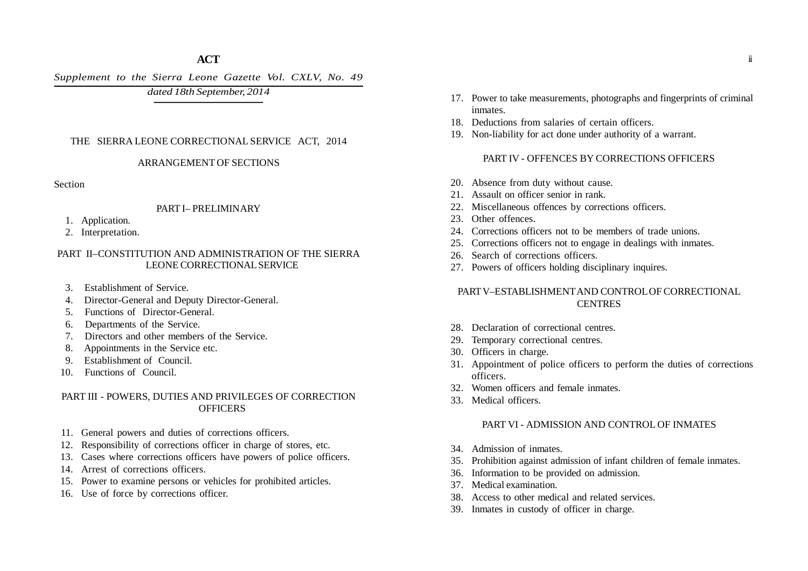*Supplement to the Sierra Leone Gazette Vol. CXLV, No. 49*

# *dated 18th September, 2014*

### THE SIERRA LEONE CORRECTIONAL SERVICE ACT, 2014

#### ARRANGEMENT OF SECTIONS

**Section** 

### PART I– PRELIMINARY

- 1. Application.
- 2. Interpretation.

#### PART II–CONSTITUTION AND ADMINISTRATION OF THE SIERRA LEONE CORRECTIONAL SERVICE

- 3. Establishment of Service.
- 4. Director-General and Deputy Director-General.
- 5. Functions of Director-General.
- 6. Departments of the Service.
- 7. Directors and other members of the Service.
- 8. Appointments in the Service etc.
- 9. Establishment of Council.
- 10. Functions of Council.

### PART III - POWERS, DUTIES AND PRIVILEGES OF CORRECTION **OFFICERS**

- 11. General powers and duties of corrections officers.
- 12. Responsibility of corrections officer in charge of stores, etc.
- 13. Cases where corrections officers have powers of police officers.
- 14. Arrest of corrections officers.
- 15. Power to examine persons or vehicles for prohibited articles.
- 16. Use of force by corrections officer.
- 17. Power to take measurements, photographs and fingerprints of criminal inmates.
- 18. Deductions from salaries of certain officers.
- 19. Non-liability for act done under authority of a warrant.

### PART IV - OFFENCES BY CORRECTIONS OFFICERS

- 20. Absence from duty without cause.
- 21. Assault on officer senior in rank.
- 22. Miscellaneous offences by corrections officers.
- 23. Other offences
- 24. Corrections officers not to be members of trade unions.
- 25. Corrections officers not to engage in dealings with inmates.
- 26. Search of corrections officers.
- 27. Powers of officers holding disciplinary inquires.

### PART V–ESTABLISHMENT AND CONTROL OF CORRECTIONAL **CENTRES**

- 28. Declaration of correctional centres.
- 29. Temporary correctional centres.
- 30. Officers in charge.
- 31. Appointment of police officers to perform the duties of corrections officers.
- 32. Women officers and female inmates.
- 33. Medical officers.

### PART VI - ADMISSION AND CONTROL OF INMATES

- 34. Admission of inmates.
- 35. Prohibition against admission of infant children of female inmates.
- 36. Information to be provided on admission.
- 37. Medical examination.
- 38. Access to other medical and related services.
- 39. Inmates in custody of officer in charge.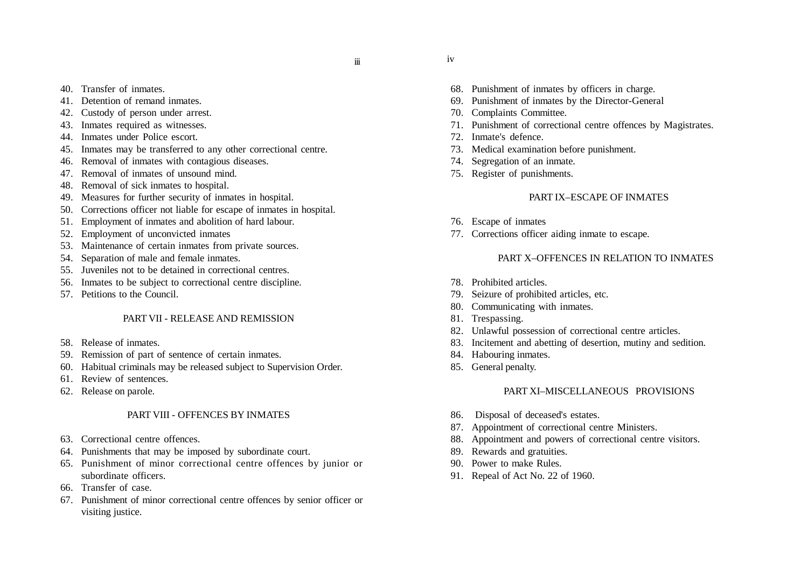iii

- 40. Transfer of inmates.
- 41. Detention of remand inmates.
- 42. Custody of person under arrest.
- 43. Inmates required as witnesses.
- 44. Inmates under Police escort.
- 45. Inmates may be transferred to any other correctional centre.
- 46. Removal of inmates with contagious diseases.
- 47. Removal of inmates of unsound mind.
- 48. Removal of sick inmates to hospital.
- 49. Measures for further security of inmates in hospital.
- 50. Corrections officer not liable for escape of inmates in hospital.
- 51. Employment of inmates and abolition of hard labour.
- 52. Employment of unconvicted inmates
- 53. Maintenance of certain inmates from private sources.
- 54. Separation of male and female inmates.
- 55. Juveniles not to be detained in correctional centres.
- 56. Inmates to be subject to correctional centre discipline.
- 57. Petitions to the Council.

### PART VII - RELEASE AND REMISSION

- 58. Release of inmates.
- 59. Remission of part of sentence of certain inmates.
- 60. Habitual criminals may be released subject to Supervision Order.
- 61. Review of sentences.
- 62. Release on parole.

### PART VIII - OFFENCES BY INMATES

- 63. Correctional centre offences.
- 64. Punishments that may be imposed by subordinate court.
- 65. Punishment of minor correctional centre offences by junior or subordinate officers.
- 66. Transfer of case.
- 67. Punishment of minor correctional centre offences by senior officer or visiting justice.
- 68. Punishment of inmates by officers in charge.
- 69. Punishment of inmates by the Director-General
- 70. Complaints Committee.
- 71. Punishment of correctional centre offences by Magistrates.
- 72. Inmate's defence.

iv

- 73. Medical examination before punishment.
- 74. Segregation of an inmate.
- 75. Register of punishments.

### PART IX–ESCAPE OF INMATES

- 76. Escape of inmates
- 77. Corrections officer aiding inmate to escape.

### PART X–OFFENCES IN RELATION TO INMATES

- 78. Prohibited articles.
- 79. Seizure of prohibited articles, etc.
- 80. Communicating with inmates.
- 81. Trespassing.
- 82. Unlawful possession of correctional centre articles.
- 83. Incitement and abetting of desertion, mutiny and sedition.
- 84. Habouring inmates.
- 85. General penalty.

### PART XI–MISCELLANEOUS PROVISIONS

- 86. Disposal of deceased's estates.
- 87. Appointment of correctional centre Ministers.
- 88. Appointment and powers of correctional centre visitors.
- 89. Rewards and gratuities.
- 90. Power to make Rules.
- 91. Repeal of Act No. 22 of 1960.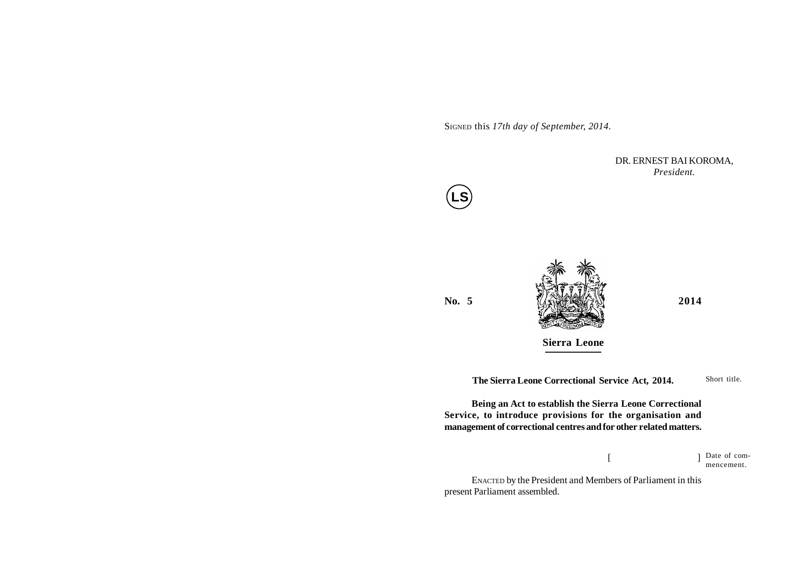SIGNED this *17th day of September, 2014.*

DR. ERNEST BAI KOROMA, *President.*





**Sierra Leone**

**The Sierra Leone Correctional Service Act, 2014.**

**Being an Act to establish the Sierra Leone Correctional Service, to introduce provisions for the organisation and management of correctional centres and for other related matters.**

> $[$   $]$ Date of commencement.

Short title.

ENACTED by the President and Members of Parliament in this present Parliament assembled.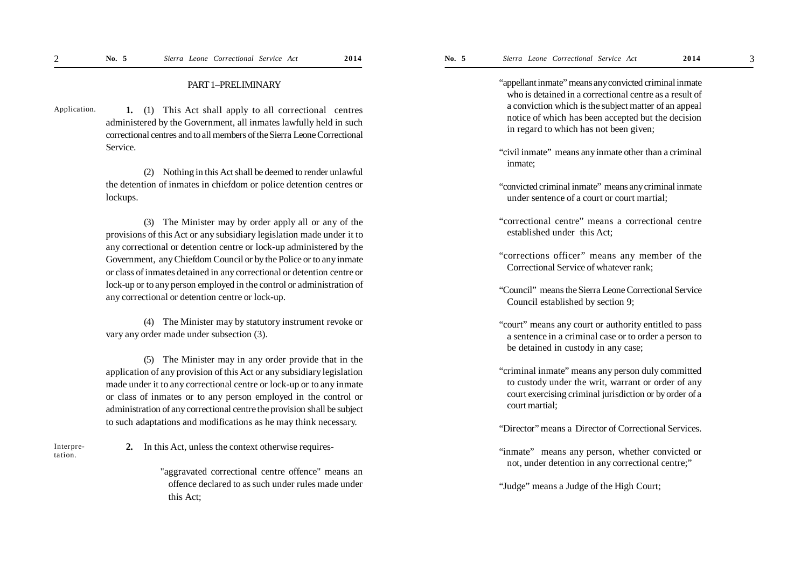**1.** (1) This Act shall apply to all correctional centres administered by the Government, all inmates lawfully held in such correctional centres and to all members of the Sierra Leone Correctional Service. Application.

> (2) Nothing in this Act shall be deemed to render unlawful the detention of inmates in chiefdom or police detention centres or lockups.

> (3) The Minister may by order apply all or any of the provisions of this Act or any subsidiary legislation made under it to any correctional or detention centre or lock-up administered by the Government, any Chiefdom Council or by the Police or to any inmate or class of inmates detained in any correctional or detention centre or lock-up or to any person employed in the control or administration of any correctional or detention centre or lock-up.

> (4) The Minister may by statutory instrument revoke or vary any order made under subsection (3).

> (5) The Minister may in any order provide that in the application of any provision of this Act or any subsidiary legislation made under it to any correctional centre or lock-up or to any inmate or class of inmates or to any person employed in the control or administration of any correctional centre the provision shall be subject to such adaptations and modifications as he may think necessary.

Interpretation.

**2.** In this Act, unless the context otherwise requires-

"aggravated correctional centre offence" means an offence declared to as such under rules made under this Act;

"appellant inmate" means any convicted criminal inmate who is detained in a correctional centre as a result of a conviction which is the subject matter of an appeal notice of which has been accepted but the decision in regard to which has not been given;

- "civil inmate" means any inmate other than a criminal inmate;
- "convicted criminal inmate" means any criminal inmate under sentence of a court or court martial;
- "correctional centre" means a correctional centre established under this Act;
- "corrections officer" means any member of the Correctional Service of whatever rank;
- "Council" means the Sierra Leone Correctional Service Council established by section 9;
- "court" means any court or authority entitled to pass a sentence in a criminal case or to order a person to be detained in custody in any case;
- "criminal inmate" means any person duly committed to custody under the writ, warrant or order of any court exercising criminal jurisdiction or by order of a court martial;
- "Director" means a Director of Correctional Services.
- "inmate" means any person, whether convicted or not, under detention in any correctional centre;"

"Judge" means a Judge of the High Court;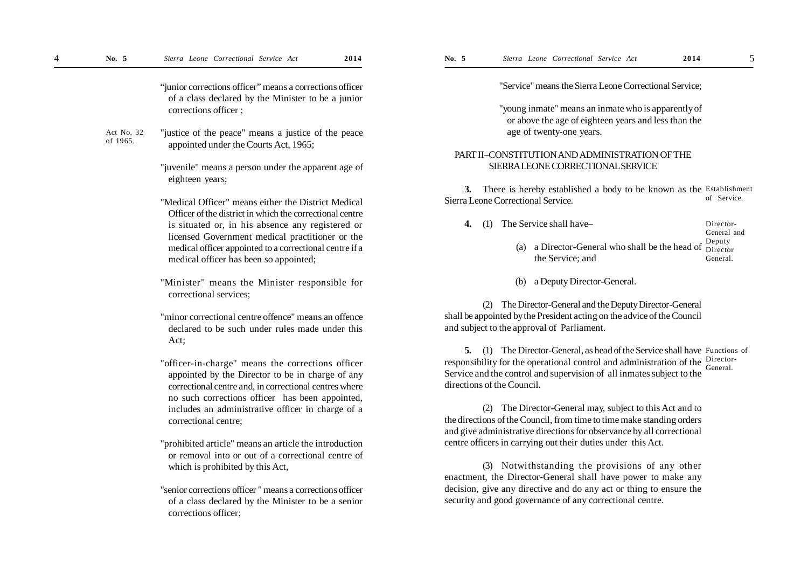"junior corrections officer" means a corrections officer of a class declared by the Minister to be a junior corrections officer ;

"justice of the peace" means a justice of the peace appointed under the Courts Act, 1965; Act No. 32 of 1965.

> "juvenile" means a person under the apparent age of eighteen years;

- "Medical Officer" means either the District Medical Officer of the district in which the correctional centre is situated or, in his absence any registered or licensed Government medical practitioner or the medical officer appointed to a correctional centre if a medical officer has been so appointed;
- "Minister" means the Minister responsible for correctional services;
- "minor correctional centre offence" means an offence declared to be such under rules made under this Act;
- "officer-in-charge" means the corrections officer appointed by the Director to be in charge of any correctional centre and, in correctional centres where no such corrections officer has been appointed, includes an administrative officer in charge of a correctional centre;
- "prohibited article" means an article the introduction or removal into or out of a correctional centre of which is prohibited by this Act,
- "senior corrections officer " means a corrections officer of a class declared by the Minister to be a senior corrections officer;

"Service" means the Sierra Leone Correctional Service;

"young inmate" means an inmate who is apparently of or above the age of eighteen years and less than the age of twenty-one years.

#### PART II–CONSTITUTION AND ADMINISTRATION OF THE SIERRA LEONE CORRECTIONAL SERVICE

**3.** There is hereby established a body to be known as the Establishment Sierra Leone Correctional Service. of Service.

| General and                                                                                               |
|-----------------------------------------------------------------------------------------------------------|
| (a) a Director-General who shall be the head of $\frac{Deputy}{Director}$<br>the Service: and<br>General. |
|                                                                                                           |

(b) a Deputy Director-General.

(2) The Director-General and the Deputy Director-General shall be appointed by the President acting on the advice of the Council and subject to the approval of Parliament.

**5.** (1) The Director-General, as head of the Service shall have Functions of responsibility for the operational control and administration of the Director-Service and the control and supervision of all inmates subject to the directions of the Council. General.

(2) The Director-General may, subject to this Act and to the directions of the Council, from time to time make standing orders and give administrative directions for observance by all correctional centre officers in carrying out their duties under this Act.

(3) Notwithstanding the provisions of any other enactment, the Director-General shall have power to make any decision, give any directive and do any act or thing to ensure the security and good governance of any correctional centre.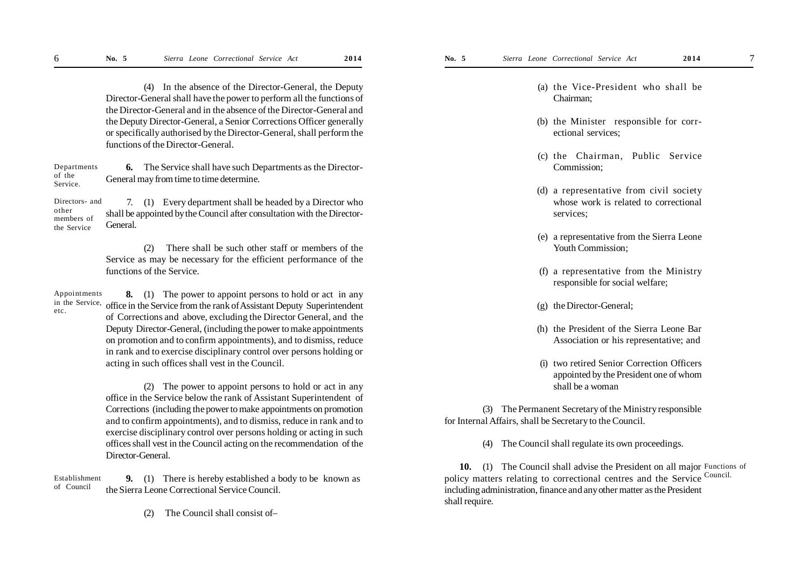(4) In the absence of the Director-General, the Deputy Director-General shall have the power to perform all the functions of the Director-General and in the absence of the Director-General and the Deputy Director-General, a Senior Corrections Officer generally or specifically authorised by the Director-General, shall perform the functions of the Director-General.

**6.** The Service shall have such Departments as the Director-General may from time to time determine. Departments of the Service.

7. (1) Every department shall be headed by a Director who shall be appointed by the Council after consultation with the Director-General. Directors- and other members of the Service

> (2) There shall be such other staff or members of the Service as may be necessary for the efficient performance of the functions of the Service.

**8.** (1) The power to appoint persons to hold or act in any office in the Service from the rank of Assistant Deputy Superintendent of Corrections and above, excluding the Director General, and the Deputy Director-General, (including the power to make appointments on promotion and to confirm appointments), and to dismiss, reduce in rank and to exercise disciplinary control over persons holding or acting in such offices shall vest in the Council. Appointments in the Service, etc.

> (2) The power to appoint persons to hold or act in any office in the Service below the rank of Assistant Superintendent of Corrections (including the power to make appointments on promotion and to confirm appointments), and to dismiss, reduce in rank and to exercise disciplinary control over persons holding or acting in such offices shall vest in the Council acting on the recommendation of the Director-General.

**9.** (1) There is hereby established a body to be known as the Sierra Leone Correctional Service Council. of Council

(2) The Council shall consist of–

- (a) the Vice-President who shall be Chairman;
- (b) the Minister responsible for correctional services;
- (c) the Chairman, Public Service Commission;
- (d) a representative from civil society whose work is related to correctional services;
- (e) a representative from the Sierra Leone Youth Commission;
- (f) a representative from the Ministry responsible for social welfare;
- (g) the Director-General;
- (h) the President of the Sierra Leone Bar Association or his representative; and
- (i) two retired Senior Correction Officers appointed by the President one of whom shall be a woman

(3) The Permanent Secretary of the Ministry responsible for Internal Affairs, shall be Secretary to the Council.

(4) The Council shall regulate its own proceedings.

10. (1) The Council shall advise the President on all major Functions of Establishment 9. (1) There is hereby established a body to be known as policy matters relating to correctional centres and the Service Council. including administration, finance and any other matter as the President shall require.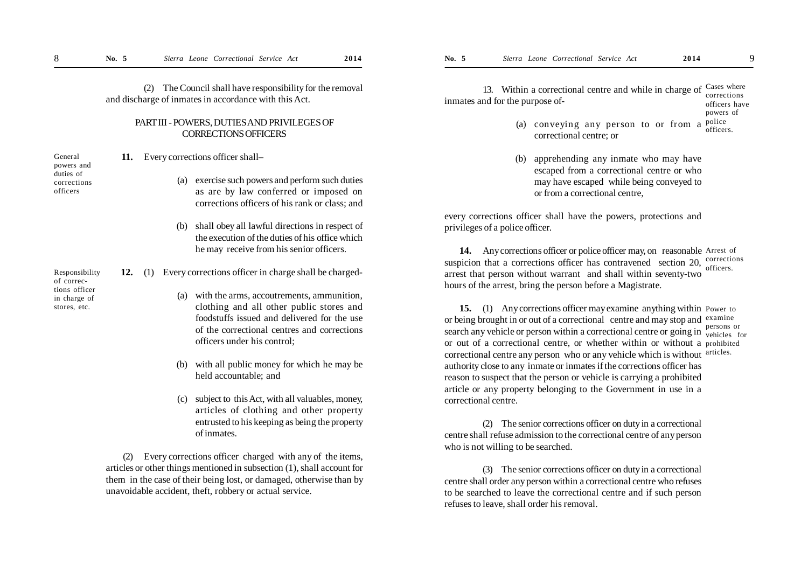(2) The Council shall have responsibility for the removal and discharge of inmates in accordance with this Act.

#### PART III - POWERS, DUTIES AND PRIVILEGES OF CORRECTIONS OFFICERS

powers and duties of corrections officers

Responsibility of corrections officer in charge of stores, etc.

General

| 11. | Every corrections officer shall-                             |                                                                                                                                                                                                                        |
|-----|--------------------------------------------------------------|------------------------------------------------------------------------------------------------------------------------------------------------------------------------------------------------------------------------|
|     |                                                              | (a) exercise such powers and perform such duties<br>as are by law conferred or imposed on<br>corrections officers of his rank or class; and                                                                            |
|     |                                                              | (b) shall obey all lawful directions in respect of<br>the execution of the duties of his office which<br>he may receive from his senior officers.                                                                      |
| 12. | Every corrections officer in charge shall be charged-<br>(1) |                                                                                                                                                                                                                        |
|     |                                                              | (a) with the arms, accoutrements, ammunition,<br>clothing and all other public stores and<br>foodstuffs issued and delivered for the use<br>of the correctional centres and corrections<br>officers under his control; |
|     | (b)                                                          | with all public money for which he may be<br>held accountable; and                                                                                                                                                     |
|     |                                                              | $(c)$ subject to this $\Delta ct$ with all valuables money                                                                                                                                                             |

subject to this Act, with all valuables, money, articles of clothing and other property entrusted to his keeping as being the property of inmates.

(2) Every corrections officer charged with any of the items, articles or other things mentioned in subsection (1), shall account for them in the case of their being lost, or damaged, otherwise than by unavoidable accident, theft, robbery or actual service.

13. Within a correctional centre and while in charge of Cases where inmates and for the purpose of corrections officers have

- powers of
- (a) conveying any person to or from a police correctional centre; or officers.
- (b) apprehending any inmate who may have escaped from a correctional centre or who may have escaped while being conveyed to or from a correctional centre,

every corrections officer shall have the powers, protections and privileges of a police officer.

14. Any corrections officer or police officer may, on reasonable Arrest of suspicion that a corrections officer has contravened section 20,  $\frac{\text{corrections}}{\text{effions}}$ arrest that person without warrant and shall within seventy-two hours of the arrest, bring the person before a Magistrate. officers.

15. (1) Any corrections officer may examine anything within Power to or being brought in or out of a correctional centre and may stop and examine search any vehicle or person within a correctional centre or going in  $\frac{\text{persons}}{\text{velicles}}$ or out of a correctional centre, or whether within or without a prohibited correctional centre any person who or any vehicle which is without articles. authority close to any inmate or inmates if the corrections officer has reason to suspect that the person or vehicle is carrying a prohibited article or any property belonging to the Government in use in a correctional centre.

vehicles for

(2) The senior corrections officer on duty in a correctional centre shall refuse admission to the correctional centre of any person who is not willing to be searched.

(3) The senior corrections officer on duty in a correctional centre shall order any person within a correctional centre who refuses to be searched to leave the correctional centre and if such person refuses to leave, shall order his removal.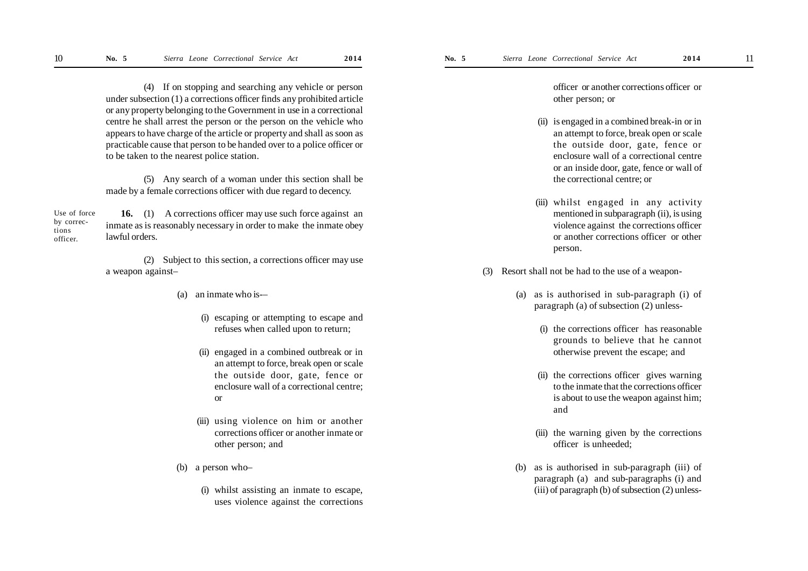(4) If on stopping and searching any vehicle or person under subsection (1) a corrections officer finds any prohibited article or any property belonging to the Government in use in a correctional centre he shall arrest the person or the person on the vehicle who appears to have charge of the article or property and shall as soon as practicable cause that person to be handed over to a police officer or to be taken to the nearest police station.

(5) Any search of a woman under this section shall be made by a female corrections officer with due regard to decency.

**16.** (1) A corrections officer may use such force against an inmate as is reasonably necessary in order to make the inmate obey lawful orders. Use of force by corrections officer.

> (2) Subject to this section, a corrections officer may use a weapon against–

- (a) an inmate who is-–
	- (i) escaping or attempting to escape and refuses when called upon to return;
	- (ii) engaged in a combined outbreak or in an attempt to force, break open or scale the outside door, gate, fence or enclosure wall of a correctional centre; or
	- (iii) using violence on him or another corrections officer or another inmate or other person; and
- (b) a person who–
	- (i) whilst assisting an inmate to escape, uses violence against the corrections

officer or another corrections officer or other person; or

- (ii) is engaged in a combined break-in or in an attempt to force, break open or scale the outside door, gate, fence or enclosure wall of a correctional centre or an inside door, gate, fence or wall of the correctional centre; or
- (iii) whilst engaged in any activity mentioned in subparagraph (ii), is using violence against the corrections officer or another corrections officer or other person.
- (3) Resort shall not be had to the use of a weapon-
	- (a) as is authorised in sub-paragraph (i) of paragraph (a) of subsection (2) unless-
		- (i) the corrections officer has reasonable grounds to believe that he cannot otherwise prevent the escape; and
		- (ii) the corrections officer gives warning to the inmate that the corrections officer is about to use the weapon against him; and
		- (iii) the warning given by the corrections officer is unheeded;
	- (b) as is authorised in sub-paragraph (iii) of paragraph (a) and sub-paragraphs (i) and (iii) of paragraph (b) of subsection (2) unless-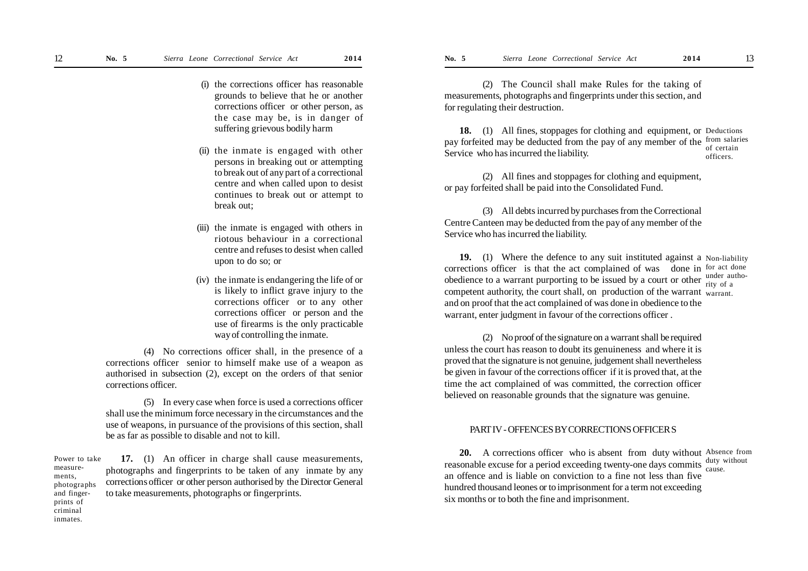- (i) the corrections officer has reasonable grounds to believe that he or another corrections officer or other person, as the case may be, is in danger of suffering grievous bodily harm
- (ii) the inmate is engaged with other persons in breaking out or attempting to break out of any part of a correctional centre and when called upon to desist continues to break out or attempt to break out;
- (iii) the inmate is engaged with others in riotous behaviour in a correctional centre and refuses to desist when called upon to do so; or
- (iv) the inmate is endangering the life of or is likely to inflict grave injury to the corrections officer or to any other corrections officer or person and the use of firearms is the only practicable way of controlling the inmate.

(4) No corrections officer shall, in the presence of a corrections officer senior to himself make use of a weapon as authorised in subsection (2), except on the orders of that senior corrections officer.

(5) In every case when force is used a corrections officer shall use the minimum force necessary in the circumstances and the use of weapons, in pursuance of the provisions of this section, shall be as far as possible to disable and not to kill.

**17.** (1) An officer in charge shall cause measurements, photographs and fingerprints to be taken of any inmate by any corrections officer or other person authorised by the Director General to take measurements, photographs or fingerprints. Power to take measurements, photographs and fingerprints of criminal

inmates.

(2) The Council shall make Rules for the taking of measurements, photographs and fingerprints under this section, and for regulating their destruction.

18. (1) All fines, stoppages for clothing and equipment, or Deductions pay forfeited may be deducted from the pay of any member of the from salaries Service who has incurred the liability. of certain officers.

(2) All fines and stoppages for clothing and equipment, or pay forfeited shall be paid into the Consolidated Fund.

(3) All debts incurred by purchases from the Correctional Centre Canteen may be deducted from the pay of any member of the Service who has incurred the liability.

**19.** (1) Where the defence to any suit instituted against a Non-liability corrections officer is that the act complained of was done in for act done obedience to a warrant purporting to be issued by a court or other  $\frac{\text{under}}{\text{right}}$ competent authority, the court shall, on production of the warrant warrant. and on proof that the act complained of was done in obedience to the warrant, enter judgment in favour of the corrections officer . rity of a

(2) No proof of the signature on a warrant shall be required unless the court has reason to doubt its genuineness and where it is proved that the signature is not genuine, judgement shall nevertheless be given in favour of the corrections officer if it is proved that, at the time the act complained of was committed, the correction officer believed on reasonable grounds that the signature was genuine.

#### PART IV - OFFENCES BY CORRECTIONS OFFICER S

**20.** A corrections officer who is absent from duty without Absence from reasonable excuse for a period exceeding twenty-one days commits duty without an offence and is liable on conviction to a fine not less than five hundred thousand leones or to imprisonment for a term not exceeding six months or to both the fine and imprisonment. cause.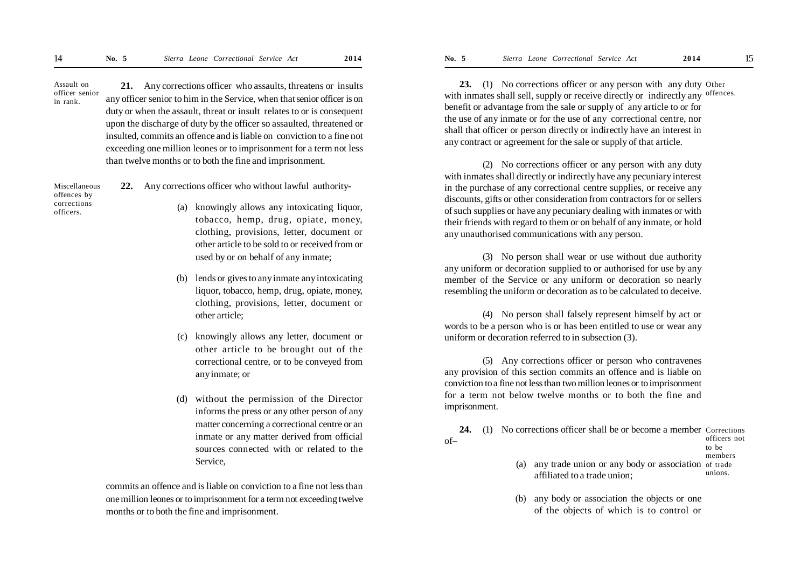**21.** Any corrections officer who assaults, threatens or insults any officer senior to him in the Service, when thatsenior officer is on duty or when the assault, threat or insult relates to or is consequent upon the discharge of duty by the officer so assaulted, threatened or insulted, commits an offence and is liable on conviction to a fine not exceeding one million leones or to imprisonment for a term not less than twelve months or to both the fine and imprisonment. Assault on officer senior in rank.

Miscellaneous offences by corrections officers.

- **22.** Any corrections officer who without lawful authority-
	- (a) knowingly allows any intoxicating liquor, tobacco, hemp, drug, opiate, money, clothing, provisions, letter, document or other article to be sold to or received from or used by or on behalf of any inmate;
	- (b) lends or gives to any inmate any intoxicating liquor, tobacco, hemp, drug, opiate, money, clothing, provisions, letter, document or other article;
	- (c) knowingly allows any letter, document or other article to be brought out of the correctional centre, or to be conveyed from any inmate; or
	- (d) without the permission of the Director informs the press or any other person of any matter concerning a correctional centre or an inmate or any matter derived from official sources connected with or related to the Service,

commits an offence and is liable on conviction to a fine not less than one million leones or to imprisonment for a term not exceeding twelve months or to both the fine and imprisonment.

**23.** (1) No corrections officer or any person with any duty Other with inmates shall sell, supply or receive directly or indirectly any offences. benefit or advantage from the sale or supply of any article to or for the use of any inmate or for the use of any correctional centre, nor shall that officer or person directly or indirectly have an interest in any contract or agreement for the sale or supply of that article.

(2) No corrections officer or any person with any duty with inmates shall directly or indirectly have any pecuniary interest in the purchase of any correctional centre supplies, or receive any discounts, gifts or other consideration from contractors for or sellers of such supplies or have any pecuniary dealing with inmates or with their friends with regard to them or on behalf of any inmate, or hold any unauthorised communications with any person.

(3) No person shall wear or use without due authority any uniform or decoration supplied to or authorised for use by any member of the Service or any uniform or decoration so nearly resembling the uniform or decoration as to be calculated to deceive.

(4) No person shall falsely represent himself by act or words to be a person who is or has been entitled to use or wear any uniform or decoration referred to in subsection (3).

(5) Any corrections officer or person who contravenes any provision of this section commits an offence and is liable on conviction to a fine not less than two million leones or to imprisonment for a term not below twelve months or to both the fine and imprisonment.

**24.** (1) No corrections officer shall be or become a member Corrections of– officers not to be

- members
- (a) any trade union or any body or association of trade affiliated to a trade union; unions.
- (b) any body or association the objects or one of the objects of which is to control or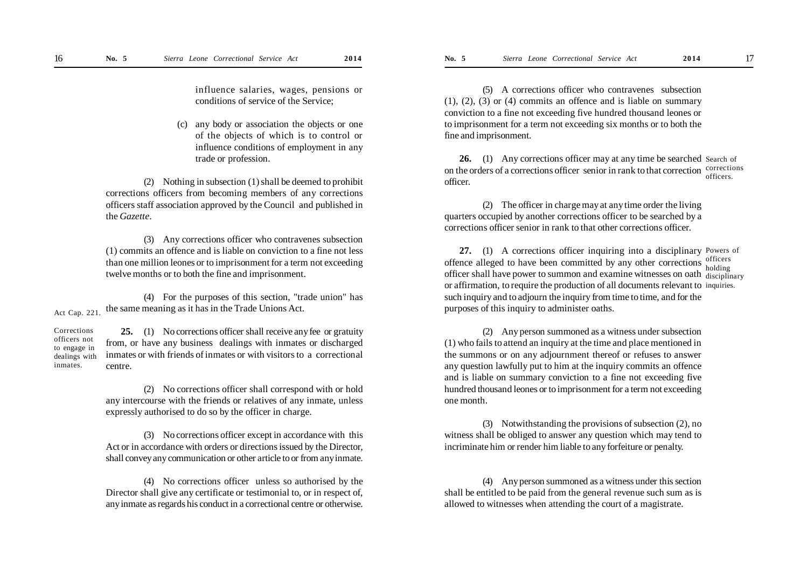influence salaries, wages, pensions or conditions of service of the Service;

(c) any body or association the objects or one of the objects of which is to control or influence conditions of employment in any trade or profession.

(2) Nothing in subsection (1) shall be deemed to prohibit corrections officers from becoming members of any corrections officers staff association approved by the Council and published in the *Gazette*.

(3) Any corrections officer who contravenes subsection (1) commits an offence and is liable on conviction to a fine not less than one million leones or to imprisonment for a term not exceeding twelve months or to both the fine and imprisonment.

(4) For the purposes of this section, "trade union" has the same meaning as it has in the Trade Unions Act.

Act Cap. 221.

inmates.

**25.** (1) No corrections officer shall receive any fee or gratuity from, or have any business dealings with inmates or discharged inmates or with friends of inmates or with visitors to a correctional centre. **Corrections** officers not to engage in dealings with

> (2) No corrections officer shall correspond with or hold any intercourse with the friends or relatives of any inmate, unless expressly authorised to do so by the officer in charge.

> (3) No corrections officer except in accordance with this Act or in accordance with orders or directions issued by the Director, shall convey any communication or other article to or from any inmate.

> (4) No corrections officer unless so authorised by the Director shall give any certificate or testimonial to, or in respect of, any inmate as regards his conduct in a correctional centre or otherwise.

(5) A corrections officer who contravenes subsection (1), (2), (3) or (4) commits an offence and is liable on summary conviction to a fine not exceeding five hundred thousand leones or to imprisonment for a term not exceeding six months or to both the fine and imprisonment.

26. (1) Any corrections officer may at any time be searched Search of on the orders of a corrections officer senior in rank to that correction  $\frac{\text{corrections}}{\text{cor}}$ officer. officers.

(2) The officer in charge may at any time order the living quarters occupied by another corrections officer to be searched by a corrections officer senior in rank to that other corrections officer.

**27.** (1) A corrections officer inquiring into a disciplinary Powers of offence alleged to have been committed by any other corrections officers officer shall have power to summon and examine witnesses on oath disciplinary or affirmation, to require the production of all documents relevant to inquiries. such inquiry and to adjourn the inquiry from time to time, and for the purposes of this inquiry to administer oaths. holding

(2) Any person summoned as a witness under subsection (1) who fails to attend an inquiry at the time and place mentioned in the summons or on any adjournment thereof or refuses to answer any question lawfully put to him at the inquiry commits an offence and is liable on summary conviction to a fine not exceeding five hundred thousand leones or to imprisonment for a term not exceeding one month.

(3) Notwithstanding the provisions of subsection (2), no witness shall be obliged to answer any question which may tend to incriminate him or render him liable to any forfeiture or penalty.

(4) Any person summoned as a witness under this section shall be entitled to be paid from the general revenue such sum as is allowed to witnesses when attending the court of a magistrate.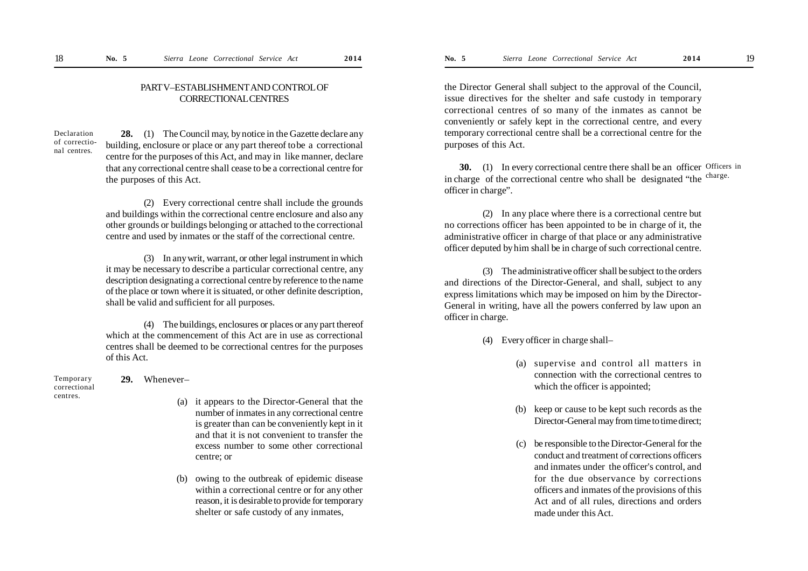### PART V–ESTABLISHMENT AND CONTROL OF CORRECTIONAL CENTRES

Declaration of correctional centres.

**28.** (1) The Council may, by notice in the Gazette declare any building, enclosure or place or any part thereof tobe a correctional centre for the purposes of this Act, and may in like manner, declare that any correctional centre shall cease to be a correctional centre for the purposes of this Act.

(2) Every correctional centre shall include the grounds and buildings within the correctional centre enclosure and also any other grounds or buildings belonging or attached to the correctional centre and used by inmates or the staff of the correctional centre.

(3) In any writ, warrant, or other legal instrument in which it may be necessary to describe a particular correctional centre, any description designating a correctional centre by reference to the name of the place or town where it is situated, or other definite description, shall be valid and sufficient for all purposes.

(4) The buildings, enclosures or places or any part thereof which at the commencement of this Act are in use as correctional centres shall be deemed to be correctional centres for the purposes of this Act.

Temporary correctional centres.

## **29.** Whenever–

- (a) it appears to the Director-General that the number of inmates in any correctional centre is greater than can be conveniently kept in it and that it is not convenient to transfer the excess number to some other correctional centre; or
- (b) owing to the outbreak of epidemic disease within a correctional centre or for any other reason, it is desirable to provide for temporary shelter or safe custody of any inmates,

the Director General shall subject to the approval of the Council, issue directives for the shelter and safe custody in temporary correctional centres of so many of the inmates as cannot be conveniently or safely kept in the correctional centre, and every temporary correctional centre shall be a correctional centre for the purposes of this Act.

**30.** (1) In every correctional centre there shall be an officer Officers in in charge of the correctional centre who shall be designated "the <sup>charge.</sup> officer in charge".

(2) In any place where there is a correctional centre but no corrections officer has been appointed to be in charge of it, the administrative officer in charge of that place or any administrative officer deputed by him shall be in charge of such correctional centre.

(3) The administrative officer shall be subject to the orders and directions of the Director-General, and shall, subject to any express limitations which may be imposed on him by the Director-General in writing, have all the powers conferred by law upon an officer in charge.

- (4) Every officer in charge shall–
	- (a) supervise and control all matters in connection with the correctional centres to which the officer is appointed;
	- (b) keep or cause to be kept such records as the Director-General may from time to time direct;
	- (c) be responsible to the Director-General for the conduct and treatment of corrections officers and inmates under the officer's control, and for the due observance by corrections officers and inmates of the provisions of this Act and of all rules, directions and orders made under this Act.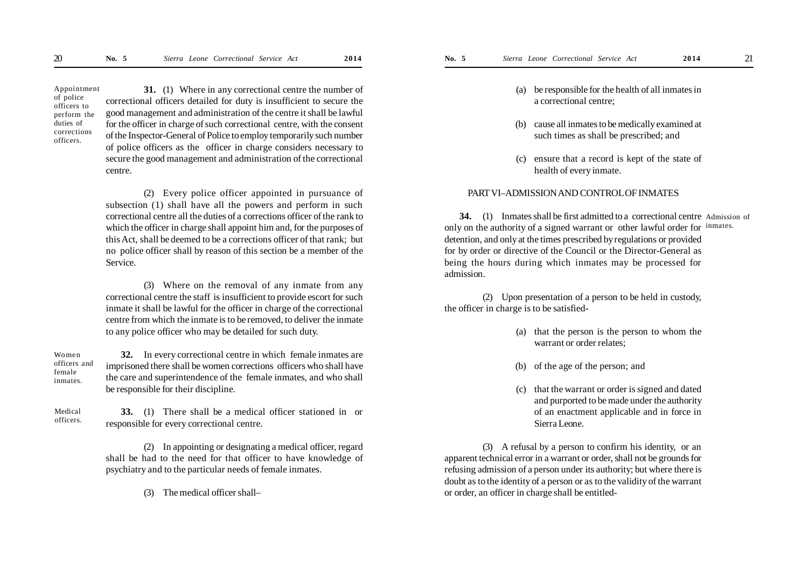Appointment of police officers to perform the duties of corrections officers.

**31.** (1) Where in any correctional centre the number of correctional officers detailed for duty is insufficient to secure the good management and administration of the centre it shall be lawful for the officer in charge of such correctional centre, with the consent of the Inspector-General of Police to employ temporarily such number of police officers as the officer in charge considers necessary to secure the good management and administration of the correctional centre.

(2) Every police officer appointed in pursuance of subsection (1) shall have all the powers and perform in such correctional centre all the duties of a corrections officer of the rank to which the officer in charge shall appoint him and, for the purposes of this Act, shall be deemed to be a corrections officer of that rank; but no police officer shall by reason of this section be a member of the Service.

(3) Where on the removal of any inmate from any correctional centre the staff is insufficient to provide escort for such inmate it shall be lawful for the officer in charge of the correctional centre from which the inmate is to be removed, to deliver the inmate to any police officer who may be detailed for such duty.

Women officers and female inmates.

**32.** In every correctional centre in which female inmates are imprisoned there shall be women corrections officers who shall have the care and superintendence of the female inmates, and who shall be responsible for their discipline.

Medical officers.

**33.** (1) There shall be a medical officer stationed in or responsible for every correctional centre.

(2) In appointing or designating a medical officer, regard shall be had to the need for that officer to have knowledge of psychiatry and to the particular needs of female inmates.

(3) The medical officer shall–

- (a) be responsible for the health of all inmates in a correctional centre;
- (b) cause all inmates to be medically examined at such times as shall be prescribed; and
- (c) ensure that a record is kept of the state of health of every inmate.

#### PART VI–ADMISSION AND CONTROL OF INMATES

**34.** (1) Inmates shall be first admitted to a correctional centre Admission of only on the authority of a signed warrant or other lawful order for inmates. detention, and only at the times prescribed by regulations or provided for by order or directive of the Council or the Director-General as being the hours during which inmates may be processed for admission.

(2) Upon presentation of a person to be held in custody, the officer in charge is to be satisfied-

- (a) that the person is the person to whom the warrant or order relates;
- (b) of the age of the person; and
- (c) that the warrant or order is signed and dated and purported to be made under the authority of an enactment applicable and in force in Sierra Leone.

(3) A refusal by a person to confirm his identity, or an apparent technical error in a warrant or order, shall not be grounds for refusing admission of a person under its authority; but where there is doubt as to the identity of a person or as to the validity of the warrant or order, an officer in charge shall be entitled-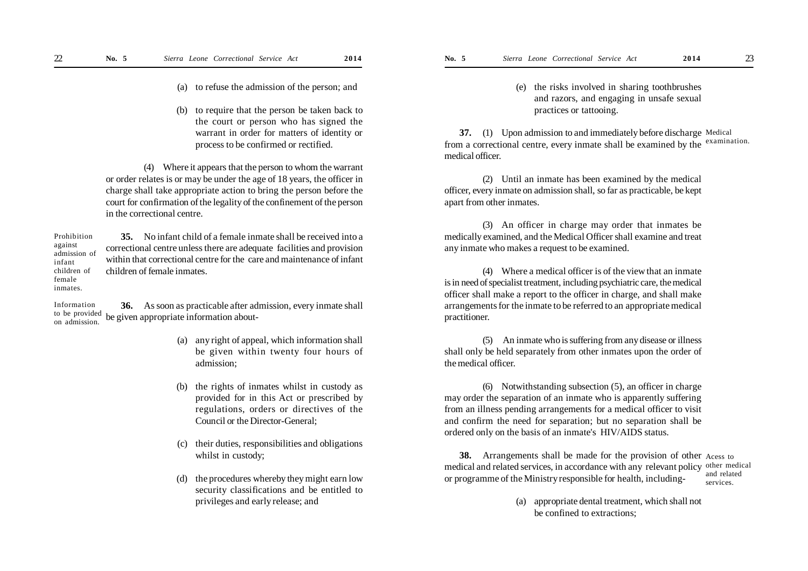- (a) to refuse the admission of the person; and
- (b) to require that the person be taken back to the court or person who has signed the warrant in order for matters of identity or process to be confirmed or rectified.

(4) Where it appears that the person to whom the warrant or order relates is or may be under the age of 18 years, the officer in charge shall take appropriate action to bring the person before the court for confirmation of the legality of the confinement of the person in the correctional centre.

**35.** No infant child of a female inmate shall be received into a correctional centre unless there are adequate facilities and provision within that correctional centre for the care and maintenance of infant children of female inmates. Prohibition against admission of infant children of female

inmates.

**36.** As soon as practicable after admission, every inmate shall be given appropriate information about- Information to be provided on admission.

- (a) any right of appeal, which information shall be given within twenty four hours of admission;
- (b) the rights of inmates whilst in custody as provided for in this Act or prescribed by regulations, orders or directives of the Council or the Director-General;
- (c) their duties, responsibilities and obligations whilst in custody;
- (d) the procedures whereby they might earn low security classifications and be entitled to privileges and early release; and

(e) the risks involved in sharing toothbrushes and razors, and engaging in unsafe sexual practices or tattooing.

**37.** (1) Upon admission to and immediately before discharge Medical from a correctional centre, every inmate shall be examined by the examination. medical officer.

(2) Until an inmate has been examined by the medical officer, every inmate on admission shall, so far as practicable, be kept apart from other inmates.

(3) An officer in charge may order that inmates be medically examined, and the Medical Officer shall examine and treat any inmate who makes a request to be examined.

(4) Where a medical officer is of the view that an inmate is in need of specialist treatment, including psychiatric care, the medical officer shall make a report to the officer in charge, and shall make arrangements for the inmate to be referred to an appropriate medical practitioner.

(5) An inmate who is suffering from any disease or illness shall only be held separately from other inmates upon the order of the medical officer.

(6) Notwithstanding subsection (5), an officer in charge may order the separation of an inmate who is apparently suffering from an illness pending arrangements for a medical officer to visit and confirm the need for separation; but no separation shall be ordered only on the basis of an inmate's HIV/AIDS status.

**38.** Arrangements shall be made for the provision of other Acess to medical and related services, in accordance with any relevant policy other medical or programme of the Ministry responsible for health, including and related services.

> (a) appropriate dental treatment, which shall not be confined to extractions;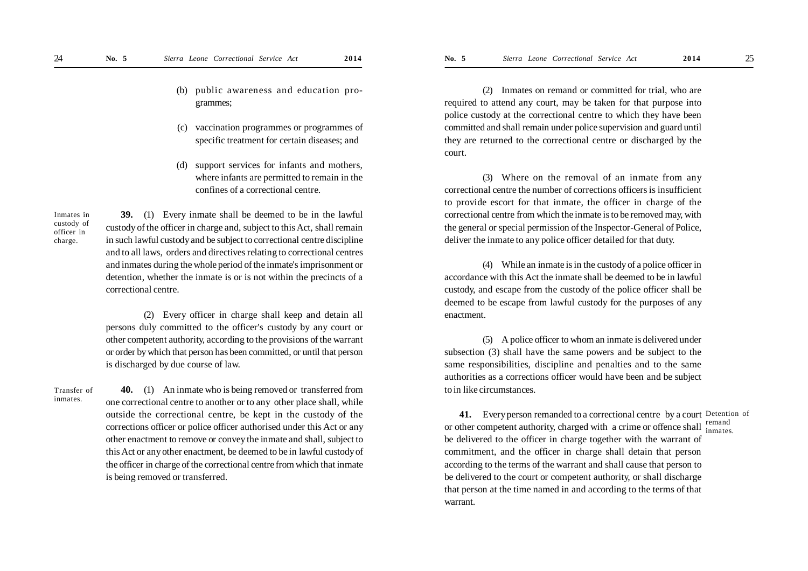- (b) public awareness and education programmes;
- (c) vaccination programmes or programmes of specific treatment for certain diseases; and
- (d) support services for infants and mothers, where infants are permitted to remain in the confines of a correctional centre.

Inmates in custody of officer in charge.

**39.** (1) Every inmate shall be deemed to be in the lawful custody of the officer in charge and, subject to this Act, shall remain in such lawful custody and be subject to correctional centre discipline and to all laws, orders and directives relating to correctional centres and inmates during the whole period of the inmate's imprisonment or detention, whether the inmate is or is not within the precincts of a correctional centre.

(2) Every officer in charge shall keep and detain all persons duly committed to the officer's custody by any court or other competent authority, according to the provisions of the warrant or order by which that person has been committed, or until that person is discharged by due course of law.

Transfer of inmates.

**40.** (1) An inmate who is being removed or transferred from one correctional centre to another or to any other place shall, while outside the correctional centre, be kept in the custody of the corrections officer or police officer authorised under this Act or any other enactment to remove or convey the inmate and shall, subject to this Act or any other enactment, be deemed to be in lawful custody of the officer in charge of the correctional centre from which that inmate is being removed or transferred.

(2) Inmates on remand or committed for trial, who are required to attend any court, may be taken for that purpose into police custody at the correctional centre to which they have been committed and shall remain under police supervision and guard until they are returned to the correctional centre or discharged by the court.

(3) Where on the removal of an inmate from any correctional centre the number of corrections officers is insufficient to provide escort for that inmate, the officer in charge of the correctional centre from which the inmate is to be removed may, with the general or special permission of the Inspector-General of Police, deliver the inmate to any police officer detailed for that duty.

(4) While an inmate is in the custody of a police officer in accordance with this Act the inmate shall be deemed to be in lawful custody, and escape from the custody of the police officer shall be deemed to be escape from lawful custody for the purposes of any enactment.

(5) A police officer to whom an inmate is delivered under subsection (3) shall have the same powers and be subject to the same responsibilities, discipline and penalties and to the same authorities as a corrections officer would have been and be subject to in like circumstances.

**41.** Every person remanded to a correctional centre by a court Detention of or other competent authority, charged with a crime or offence shall  $\frac{\text{remainder}}{\text{immates}}$ be delivered to the officer in charge together with the warrant of commitment, and the officer in charge shall detain that person according to the terms of the warrant and shall cause that person to be delivered to the court or competent authority, or shall discharge that person at the time named in and according to the terms of that warrant. inmates.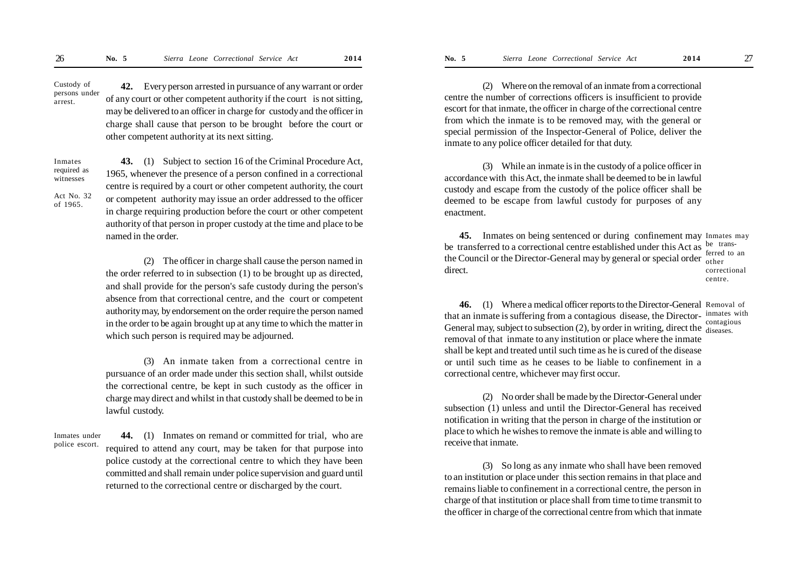**42.** Every person arrested in pursuance of any warrant or order of any court or other competent authority if the court is not sitting, may be delivered to an officer in charge for custody and the officer in charge shall cause that person to be brought before the court or other competent authority at its next sitting. Custody of persons under arrest.

Inmates required as witnesses

Act No. 32 of 1965.

**43.** (1) Subject to section 16 of the Criminal Procedure Act, 1965, whenever the presence of a person confined in a correctional centre is required by a court or other competent authority, the court or competent authority may issue an order addressed to the officer in charge requiring production before the court or other competent authority of that person in proper custody at the time and place to be named in the order.

(2) The officer in charge shall cause the person named in the order referred to in subsection (1) to be brought up as directed, and shall provide for the person's safe custody during the person's absence from that correctional centre, and the court or competent authority may, by endorsement on the order require the person named in the order to be again brought up at any time to which the matter in which such person is required may be adjourned.

(3) An inmate taken from a correctional centre in pursuance of an order made under this section shall, whilst outside the correctional centre, be kept in such custody as the officer in charge may direct and whilst in that custody shall be deemed to be in lawful custody.

Inmates under police escort.

**44.** (1) Inmates on remand or committed for trial, who are required to attend any court, may be taken for that purpose into police custody at the correctional centre to which they have been committed and shall remain under police supervision and guard until returned to the correctional centre or discharged by the court.

(2) Where on the removal of an inmate from a correctional centre the number of corrections officers is insufficient to provide escort for that inmate, the officer in charge of the correctional centre from which the inmate is to be removed may, with the general or special permission of the Inspector-General of Police, deliver the inmate to any police officer detailed for that duty.

(3) While an inmate is in the custody of a police officer in accordance with this Act, the inmate shall be deemed to be in lawful custody and escape from the custody of the police officer shall be deemed to be escape from lawful custody for purposes of any enactment.

**45.** Inmates on being sentenced or during confinement may Inmates may be transferred to a correctional centre established under this Act as  $\frac{be}{f}$  transthe Council or the Director-General may by general or special order other direct. ferred to an

correctional centre.

**46.** (1) Where a medical officer reports to the Director-General Removal of that an inmate is suffering from a contagious disease, the Director- inmates with General may, subject to subsection  $(2)$ , by order in writing, direct the  $\frac{\text{const}}{\text{disease}}$ . removal of that inmate to any institution or place where the inmate shall be kept and treated until such time as he is cured of the disease or until such time as he ceases to be liable to confinement in a correctional centre, whichever may first occur. contagious

(2) No order shall be made by the Director-General under subsection (1) unless and until the Director-General has received notification in writing that the person in charge of the institution or place to which he wishes to remove the inmate is able and willing to receive that inmate.

(3) So long as any inmate who shall have been removed to an institution or place under this section remains in that place and remains liable to confinement in a correctional centre, the person in charge of that institution or place shall from time to time transmit to the officer in charge of the correctional centre from which that inmate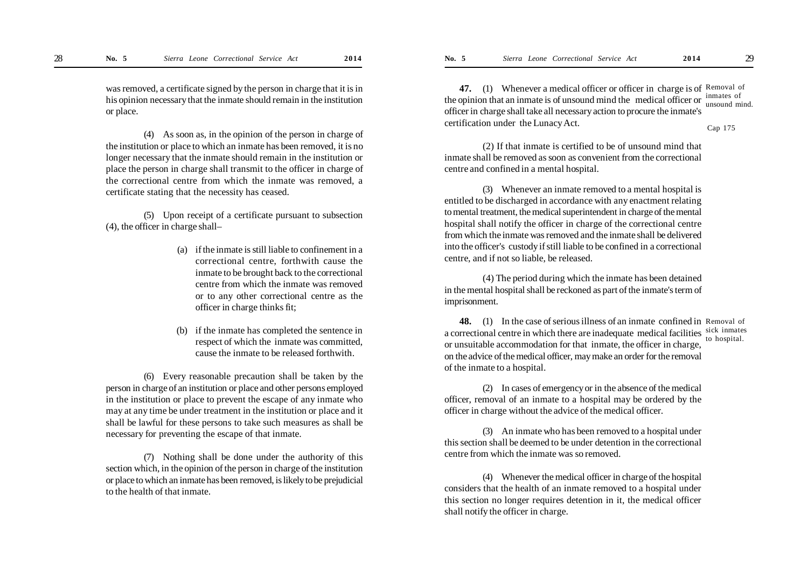was removed, a certificate signed by the person in charge that it is in his opinion necessary that the inmate should remain in the institution or place.

(4) As soon as, in the opinion of the person in charge of the institution or place to which an inmate has been removed, it is no longer necessary that the inmate should remain in the institution or place the person in charge shall transmit to the officer in charge of the correctional centre from which the inmate was removed, a certificate stating that the necessity has ceased.

(5) Upon receipt of a certificate pursuant to subsection (4), the officer in charge shall–

- (a) if the inmate is still liable to confinement in a correctional centre, forthwith cause the inmate to be brought back to the correctional centre from which the inmate was removed or to any other correctional centre as the officer in charge thinks fit;
- (b) if the inmate has completed the sentence in respect of which the inmate was committed, cause the inmate to be released forthwith.

(6) Every reasonable precaution shall be taken by the person in charge of an institution or place and other persons employed in the institution or place to prevent the escape of any inmate who may at any time be under treatment in the institution or place and it shall be lawful for these persons to take such measures as shall be necessary for preventing the escape of that inmate.

(7) Nothing shall be done under the authority of this section which, in the opinion of the person in charge of the institution or place to which an inmate has been removed, is likely to be prejudicial to the health of that inmate.

47. (1) Whenever a medical officer or officer in charge is of Removal of the opinion that an inmate is of unsound mind the medical officer or  $\frac{\text{immates of}}{\text{unsound m}}$ officer in charge shall take all necessary action to procure the inmate's certification under the Lunacy Act. unsound mind. Cap 175

(2) If that inmate is certified to be of unsound mind that inmate shall be removed as soon as convenient from the correctional centre and confined in a mental hospital.

(3) Whenever an inmate removed to a mental hospital is entitled to be discharged in accordance with any enactment relating to mental treatment, the medical superintendent in charge of the mental hospital shall notify the officer in charge of the correctional centre from which the inmate was removed and the inmate shall be delivered into the officer's custody if still liable to be confined in a correctional centre, and if not so liable, be released.

(4) The period during which the inmate has been detained in the mental hospital shall be reckoned as part of the inmate's term of imprisonment.

**48.** (1) In the case of serious illness of an inmate confined in Removal of a correctional centre in which there are inadequate medical facilities sick inmates or unsuitable accommodation for that inmate, the officer in charge, on the advice of the medical officer, may make an order for the removal of the inmate to a hospital. to hospital.

(2) In cases of emergency or in the absence of the medical officer, removal of an inmate to a hospital may be ordered by the officer in charge without the advice of the medical officer.

(3) An inmate who has been removed to a hospital under this section shall be deemed to be under detention in the correctional centre from which the inmate was so removed.

(4) Whenever the medical officer in charge of the hospital considers that the health of an inmate removed to a hospital under this section no longer requires detention in it, the medical officer shall notify the officer in charge.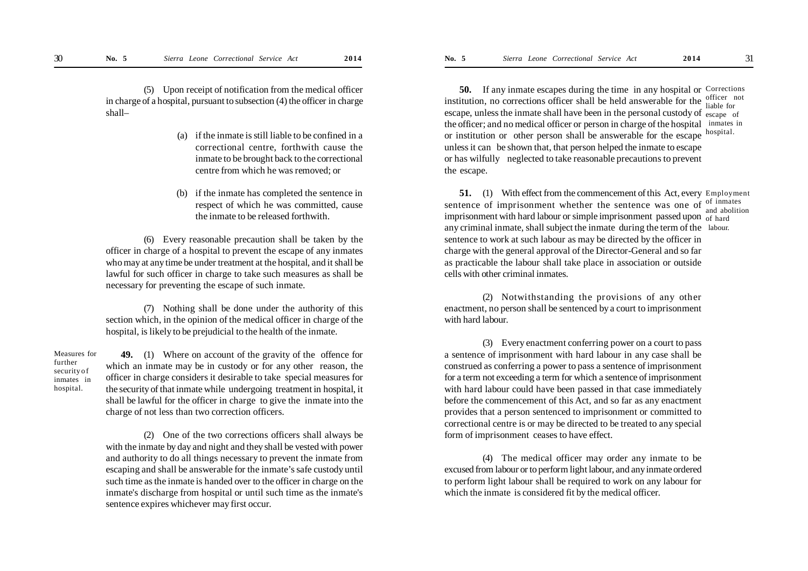(5) Upon receipt of notification from the medical officer in charge of a hospital, pursuant to subsection (4) the officer in charge shall–

- (a) if the inmate is still liable to be confined in a correctional centre, forthwith cause the inmate to be brought back to the correctional centre from which he was removed; or
- (b) if the inmate has completed the sentence in respect of which he was committed, cause the inmate to be released forthwith.

(6) Every reasonable precaution shall be taken by the officer in charge of a hospital to prevent the escape of any inmates who may at any time be under treatment at the hospital, and it shall be lawful for such officer in charge to take such measures as shall be necessary for preventing the escape of such inmate.

(7) Nothing shall be done under the authority of this section which, in the opinion of the medical officer in charge of the hospital, is likely to be prejudicial to the health of the inmate.

Measures for further security o f inmates in hospital.

**49.** (1) Where on account of the gravity of the offence for which an inmate may be in custody or for any other reason, the officer in charge considers it desirable to take special measures for the security of that inmate while undergoing treatment in hospital, it shall be lawful for the officer in charge to give the inmate into the charge of not less than two correction officers.

(2) One of the two corrections officers shall always be with the inmate by day and night and they shall be vested with power and authority to do all things necessary to prevent the inmate from escaping and shall be answerable for the inmate's safe custody until such time as the inmate is handed over to the officer in charge on the inmate's discharge from hospital or until such time as the inmate's sentence expires whichever may first occur.

**50.** If any inmate escapes during the time in any hospital or Corrections institution, no corrections officer shall be held answerable for the  $\frac{\text{officer}}{\text{liable for}}$ escape, unless the inmate shall have been in the personal custody of escape of the officer; and no medical officer or person in charge of the hospital inmates in or institution or other person shall be answerable for the escape hospital. unless it can be shown that, that person helped the inmate to escape or has wilfully neglected to take reasonable precautions to prevent the escape. liable for

**51.** (1) With effect from the commencement of this Act, every Employment sentence of imprisonment whether the sentence was one of  $\frac{1}{2}$  chalities imprisonment with hard labour or simple imprisonment passed upon of hard any criminal inmate, shall subject the inmate during the term of the labour. sentence to work at such labour as may be directed by the officer in charge with the general approval of the Director-General and so far as practicable the labour shall take place in association or outside cells with other criminal inmates. and abolition

(2) Notwithstanding the provisions of any other enactment, no person shall be sentenced by a court to imprisonment with hard labour.

(3) Every enactment conferring power on a court to pass a sentence of imprisonment with hard labour in any case shall be construed as conferring a power to pass a sentence of imprisonment for a term not exceeding a term for which a sentence of imprisonment with hard labour could have been passed in that case immediately before the commencement of this Act, and so far as any enactment provides that a person sentenced to imprisonment or committed to correctional centre is or may be directed to be treated to any special form of imprisonment ceases to have effect.

(4) The medical officer may order any inmate to be excused from labour or to perform light labour, and any inmate ordered to perform light labour shall be required to work on any labour for which the inmate is considered fit by the medical officer.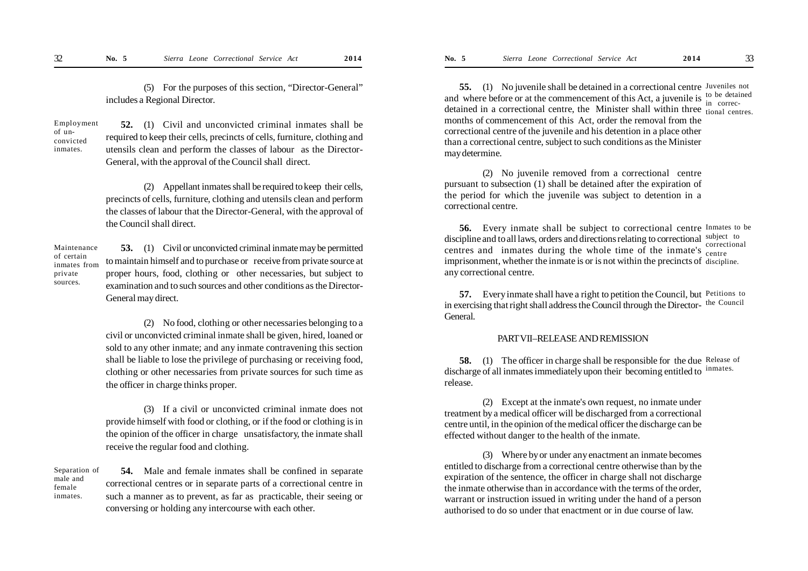(5) For the purposes of this section, "Director-General" includes a Regional Director.

Employment of unconvicted inmates.

**52.** (1) Civil and unconvicted criminal inmates shall be required to keep their cells, precincts of cells, furniture, clothing and utensils clean and perform the classes of labour as the Director-General, with the approval of the Council shall direct.

(2) Appellant inmates shall be required to keep their cells, precincts of cells, furniture, clothing and utensils clean and perform the classes of labour that the Director-General, with the approval of the Council shall direct.

Maintenance of certain inmates from private sources.

**53.** (1) Civil or unconvicted criminal inmate may be permitted to maintain himself and to purchase or receive from private source at proper hours, food, clothing or other necessaries, but subject to examination and to such sources and other conditions as the Director-General may direct.

(2) No food, clothing or other necessaries belonging to a civil or unconvicted criminal inmate shall be given, hired, loaned or sold to any other inmate; and any inmate contravening this section shall be liable to lose the privilege of purchasing or receiving food, clothing or other necessaries from private sources for such time as the officer in charge thinks proper.

(3) If a civil or unconvicted criminal inmate does not provide himself with food or clothing, or if the food or clothing is in the opinion of the officer in charge unsatisfactory, the inmate shall receive the regular food and clothing.

Separation of male and female inmates.

**54.** Male and female inmates shall be confined in separate correctional centres or in separate parts of a correctional centre in such a manner as to prevent, as far as practicable, their seeing or conversing or holding any intercourse with each other.

**55.** (1) No juvenile shall be detained in a correctional centre Juveniles not and where before or at the commencement of this Act, a juvenile is  $\frac{1}{2}$  to be detained detained in a correctional centre, the Minister shall within three  $\frac{m}{\text{tional centres}}$ . months of commencement of this Act, order the removal from the correctional centre of the juvenile and his detention in a place other than a correctional centre, subject to such conditions as the Minister may determine. in correc-

(2) No juvenile removed from a correctional centre pursuant to subsection (1) shall be detained after the expiration of the period for which the juvenile was subject to detention in a correctional centre.

**56.** Every inmate shall be subject to correctional centre Inmates to be discipline and to all laws, orders and directions relating to correctional subject to centres and inmates during the whole time of the inmate's <sub>centre</sub> imprisonment, whether the inmate is or is not within the precincts of discipline. any correctional centre. centre

**57.** Every inmate shall have a right to petition the Council, but Petitions to in exercising that right shall address the Council through the Director-the Council General.

#### PART VII–RELEASE AND REMISSION

**58.** (1) The officer in charge shall be responsible for the due Release of discharge of all inmates immediately upon their becoming entitled to inmates. release.

(2) Except at the inmate's own request, no inmate under treatment by a medical officer will be discharged from a correctional centre until, in the opinion of the medical officer the discharge can be effected without danger to the health of the inmate.

(3) Where by or under any enactment an inmate becomes entitled to discharge from a correctional centre otherwise than by the expiration of the sentence, the officer in charge shall not discharge the inmate otherwise than in accordance with the terms of the order, warrant or instruction issued in writing under the hand of a person authorised to do so under that enactment or in due course of law.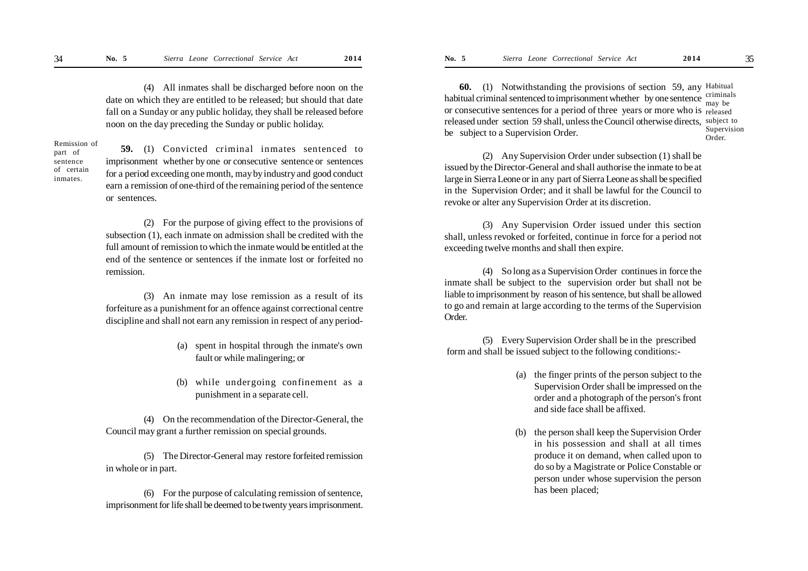(4) All inmates shall be discharged before noon on the date on which they are entitled to be released; but should that date fall on a Sunday or any public holiday, they shall be released before noon on the day preceding the Sunday or public holiday.

Remission of part of sentence of certain inmates.

**59.** (1) Convicted criminal inmates sentenced to imprisonment whether by one or consecutive sentence or sentences for a period exceeding one month, may by industry and good conduct earn a remission of one-third of the remaining period of the sentence or sentences.

(2) For the purpose of giving effect to the provisions of subsection (1), each inmate on admission shall be credited with the full amount of remission to which the inmate would be entitled at the end of the sentence or sentences if the inmate lost or forfeited no remission.

(3) An inmate may lose remission as a result of its forfeiture as a punishment for an offence against correctional centre discipline and shall not earn any remission in respect of any period-

- (a) spent in hospital through the inmate's own fault or while malingering; or
- (b) while undergoing confinement as a punishment in a separate cell.

(4) On the recommendation of the Director-General, the Council may grant a further remission on special grounds.

(5) The Director-General may restore forfeited remission in whole or in part.

(6) For the purpose of calculating remission of sentence, imprisonment for life shall be deemed to be twenty years imprisonment.

**60.** (1) Notwithstanding the provisions of section 59, any Habitual habitual criminal sentenced to imprisonment whether by one sentence criminals or consecutive sentences for a period of three years or more who is released released under section 59 shall, unless the Council otherwise directs, subject to be subject to a Supervision Order. may be Supervision Order.

(2) Any Supervision Order under subsection (1) shall be issued by the Director-General and shall authorise the inmate to be at large in Sierra Leone or in any part of Sierra Leone as shall be specified in the Supervision Order; and it shall be lawful for the Council to revoke or alter any Supervision Order at its discretion.

(3) Any Supervision Order issued under this section shall, unless revoked or forfeited, continue in force for a period not exceeding twelve months and shall then expire.

(4) So long as a Supervision Order continues in force the inmate shall be subject to the supervision order but shall not be liable to imprisonment by reason of his sentence, but shall be allowed to go and remain at large according to the terms of the Supervision Order.

(5) Every Supervision Order shall be in the prescribed form and shall be issued subject to the following conditions:-

- (a) the finger prints of the person subject to the Supervision Order shall be impressed on the order and a photograph of the person's front and side face shall be affixed.
- (b) the person shall keep the Supervision Order in his possession and shall at all times produce it on demand, when called upon to do so by a Magistrate or Police Constable or person under whose supervision the person has been placed;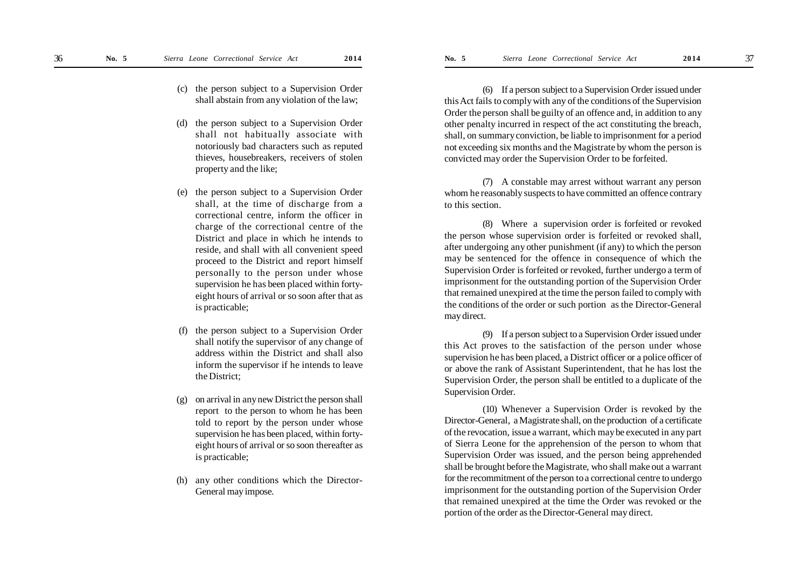- (c) the person subject to a Supervision Order shall abstain from any violation of the law;
- (d) the person subject to a Supervision Order shall not habitually associate with notoriously bad characters such as reputed thieves, housebreakers, receivers of stolen property and the like;
- (e) the person subject to a Supervision Order shall, at the time of discharge from a correctional centre, inform the officer in charge of the correctional centre of the District and place in which he intends to reside, and shall with all convenient speed proceed to the District and report himself personally to the person under whose supervision he has been placed within fortyeight hours of arrival or so soon after that as is practicable;
- the person subject to a Supervision Order shall notify the supervisor of any change of address within the District and shall also inform the supervisor if he intends to leave the District;
- (g) on arrival in any new District the person shall report to the person to whom he has been told to report by the person under whose supervision he has been placed, within fortyeight hours of arrival or so soon thereafter as is practicable;
- (h) any other conditions which the Director-General may impose.

(6) If a person subject to a Supervision Order issued under this Act fails to comply with any of the conditions of the Supervision Order the person shall be guilty of an offence and, in addition to any other penalty incurred in respect of the act constituting the breach, shall, on summary conviction, be liable to imprisonment for a period not exceeding six months and the Magistrate by whom the person is convicted may order the Supervision Order to be forfeited.

(7) A constable may arrest without warrant any person whom he reasonably suspects to have committed an offence contrary to this section.

(8) Where a supervision order is forfeited or revoked the person whose supervision order is forfeited or revoked shall, after undergoing any other punishment (if any) to which the person may be sentenced for the offence in consequence of which the Supervision Order is forfeited or revoked, further undergo a term of imprisonment for the outstanding portion of the Supervision Order that remained unexpired at the time the person failed to comply with the conditions of the order or such portion as the Director-General may direct.

(9) If a person subject to a Supervision Order issued under this Act proves to the satisfaction of the person under whose supervision he has been placed, a District officer or a police officer of or above the rank of Assistant Superintendent, that he has lost the Supervision Order, the person shall be entitled to a duplicate of the Supervision Order.

(10) Whenever a Supervision Order is revoked by the Director-General, a Magistrate shall, on the production of a certificate of the revocation, issue a warrant, which may be executed in any part of Sierra Leone for the apprehension of the person to whom that Supervision Order was issued, and the person being apprehended shall be brought before the Magistrate, who shall make out a warrant for the recommitment of the person to a correctional centre to undergo imprisonment for the outstanding portion of the Supervision Order that remained unexpired at the time the Order was revoked or the portion of the order as the Director-General may direct.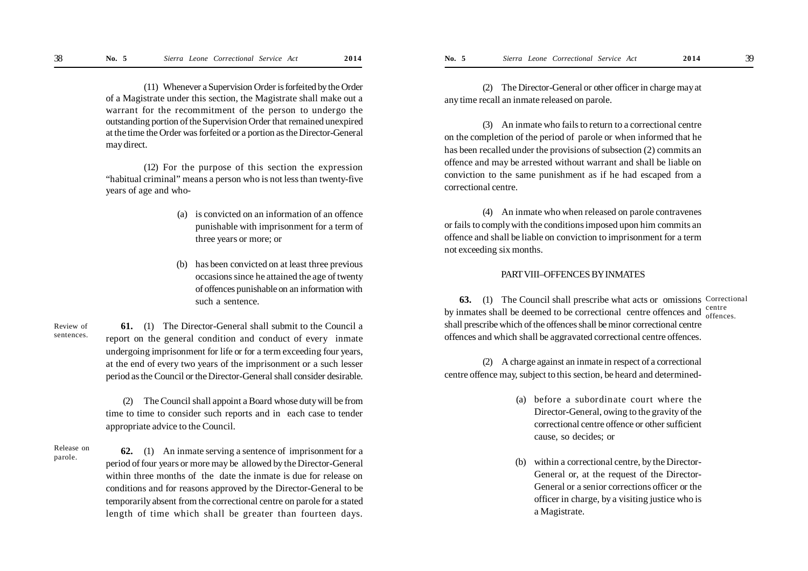(11) Whenever a Supervision Order is forfeited by the Order of a Magistrate under this section, the Magistrate shall make out a warrant for the recommitment of the person to undergo the outstanding portion of the Supervision Order that remained unexpired at the time the Order was forfeited or a portion as the Director-General may direct.

(12) For the purpose of this section the expression "habitual criminal" means a person who is not less than twenty-five years of age and who-

- (a) is convicted on an information of an offence punishable with imprisonment for a term of three years or more; or
- (b) has been convicted on at least three previous occasions since he attained the age of twenty of offences punishable on an information with such a sentence.

**61.** (1) The Director-General shall submit to the Council a report on the general condition and conduct of every inmate undergoing imprisonment for life or for a term exceeding four years, at the end of every two years of the imprisonment or a such lesser period as the Council or the Director-General shall consider desirable. Review of sentences.

> (2) The Council shall appoint a Board whose duty will be from time to time to consider such reports and in each case to tender appropriate advice to the Council.

Release on parole.

**62.** (1) An inmate serving a sentence of imprisonment for a period of four years or more may be allowed by the Director-General within three months of the date the inmate is due for release on conditions and for reasons approved by the Director-General to be temporarily absent from the correctional centre on parole for a stated length of time which shall be greater than fourteen days.

(2) The Director-General or other officer in charge may at any time recall an inmate released on parole.

(3) An inmate who fails to return to a correctional centre on the completion of the period of parole or when informed that he has been recalled under the provisions of subsection (2) commits an offence and may be arrested without warrant and shall be liable on conviction to the same punishment as if he had escaped from a correctional centre.

(4) An inmate who when released on parole contravenes or fails to comply with the conditions imposed upon him commits an offence and shall be liable on conviction to imprisonment for a term not exceeding six months.

#### PART VIII–OFFENCES BY INMATES

**63.** (1) The Council shall prescribe what acts or omissions Correctional by inmates shall be deemed to be correctional centre offences and  $_{\text{offenc}}^{\text{centre}}$ shall prescribe which of the offences shall be minor correctional centre offences and which shall be aggravated correctional centre offences. offences.

(2) A charge against an inmate in respect of a correctional centre offence may, subject to this section, be heard and determined-

- (a) before a subordinate court where the Director-General, owing to the gravity of the correctional centre offence or other sufficient cause, so decides; or
- (b) within a correctional centre, by the Director-General or, at the request of the Director-General or a senior corrections officer or the officer in charge, by a visiting justice who is a Magistrate.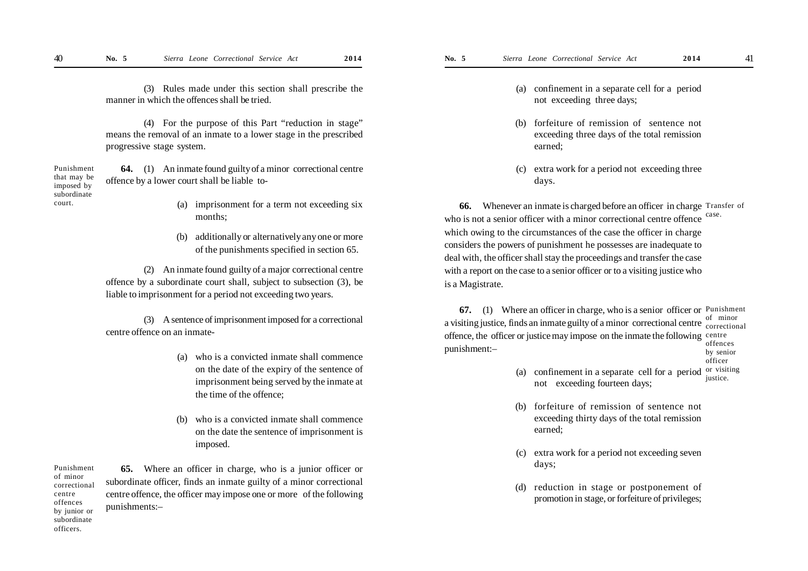(3) Rules made under this section shall prescribe the manner in which the offences shall be tried.

(4) For the purpose of this Part "reduction in stage" means the removal of an inmate to a lower stage in the prescribed progressive stage system.

**64.** (1) An inmate found guilty of a minor correctional centre offence by a lower court shall be liable to- Punishment that may be

- (a) imprisonment for a term not exceeding six months;
- (b) additionally or alternatively any one or more of the punishments specified in section 65.

(2) An inmate found guilty of a major correctional centre offence by a subordinate court shall, subject to subsection (3), be liable to imprisonment for a period not exceeding two years.

(3) A sentence of imprisonment imposed for a correctional centre offence on an inmate-

- (a) who is a convicted inmate shall commence on the date of the expiry of the sentence of imprisonment being served by the inmate at the time of the offence;
- (b) who is a convicted inmate shall commence on the date the sentence of imprisonment is imposed.

Punishment of minor correctional centre offences by junior or subordinate officers.

imposed by subordinate court.

> **65.** Where an officer in charge, who is a junior officer or subordinate officer, finds an inmate guilty of a minor correctional centre offence, the officer may impose one or more of the following punishments:–

- (a) confinement in a separate cell for a period not exceeding three days;
- (b) forfeiture of remission of sentence not exceeding three days of the total remission earned;
- (c) extra work for a period not exceeding three days.

**66.** Whenever an inmate is charged before an officer in charge Transfer of who is not a senior officer with a minor correctional centre offence which owing to the circumstances of the case the officer in charge considers the powers of punishment he possesses are inadequate to deal with, the officer shall stay the proceedings and transfer the case with a report on the case to a senior officer or to a visiting justice who is a Magistrate. case.

**67.** (1) Where an officer in charge, who is a senior officer or Punishment a visiting justice, finds an inmate guilty of a minor correctional centre  $\frac{1}{\text{correction}}$ offence, the officer or justice may impose on the inmate the following centre punishment:– correctional offences by senior

- officer
- (a) confinement in a separate cell for a period not exceeding fourteen days; or visiting justice.
- (b) forfeiture of remission of sentence not exceeding thirty days of the total remission earned;
- (c) extra work for a period not exceeding seven days;
- (d) reduction in stage or postponement of promotion in stage, or forfeiture of privileges;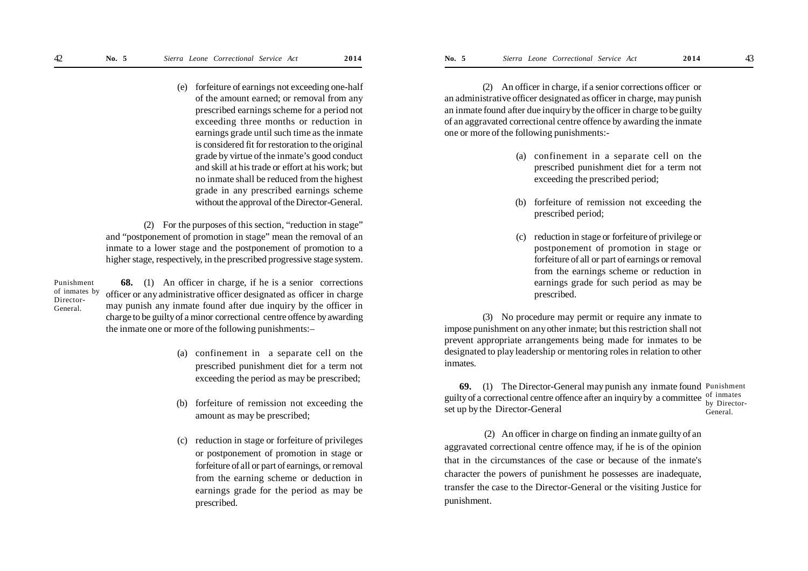(e) forfeiture of earnings not exceeding one-half of the amount earned; or removal from any prescribed earnings scheme for a period not exceeding three months or reduction in earnings grade until such time as the inmate is considered fit for restoration to the original grade by virtue of the inmate's good conduct and skill at his trade or effort at his work; but no inmate shall be reduced from the highest grade in any prescribed earnings scheme without the approval of the Director-General.

(2) For the purposes of this section, "reduction in stage" and "postponement of promotion in stage" mean the removal of an inmate to a lower stage and the postponement of promotion to a higher stage, respectively, in the prescribed progressive stage system.

Punishment of inmates by Director-General.

**68.** (1) An officer in charge, if he is a senior corrections officer or any administrative officer designated as officer in charge may punish any inmate found after due inquiry by the officer in charge to be guilty of a minor correctional centre offence by awarding the inmate one or more of the following punishments:–

- (a) confinement in a separate cell on the prescribed punishment diet for a term not exceeding the period as may be prescribed;
- (b) forfeiture of remission not exceeding the amount as may be prescribed;
- (c) reduction in stage or forfeiture of privileges or postponement of promotion in stage or forfeiture of all or part of earnings, or removal from the earning scheme or deduction in earnings grade for the period as may be prescribed.

(2) An officer in charge, if a senior corrections officer or an administrative officer designated as officer in charge, may punish an inmate found after due inquiry by the officer in charge to be guilty of an aggravated correctional centre offence by awarding the inmate one or more of the following punishments:-

- (a) confinement in a separate cell on the prescribed punishment diet for a term not exceeding the prescribed period;
- (b) forfeiture of remission not exceeding the prescribed period;
- (c) reduction in stage or forfeiture of privilege or postponement of promotion in stage or forfeiture of all or part of earnings or removal from the earnings scheme or reduction in earnings grade for such period as may be prescribed.

(3) No procedure may permit or require any inmate to impose punishment on any other inmate; but this restriction shall not prevent appropriate arrangements being made for inmates to be designated to play leadership or mentoring roles in relation to other inmates.

**69.** (1) The Director-General may punish any inmate found Punishment guilty of a correctional centre offence after an inquiry by a committee  $\frac{1}{2}$  by Directed set up by the Director-General by Director-General.

 (2) An officer in charge on finding an inmate guilty of an aggravated correctional centre offence may, if he is of the opinion that in the circumstances of the case or because of the inmate's character the powers of punishment he possesses are inadequate, transfer the case to the Director-General or the visiting Justice for punishment.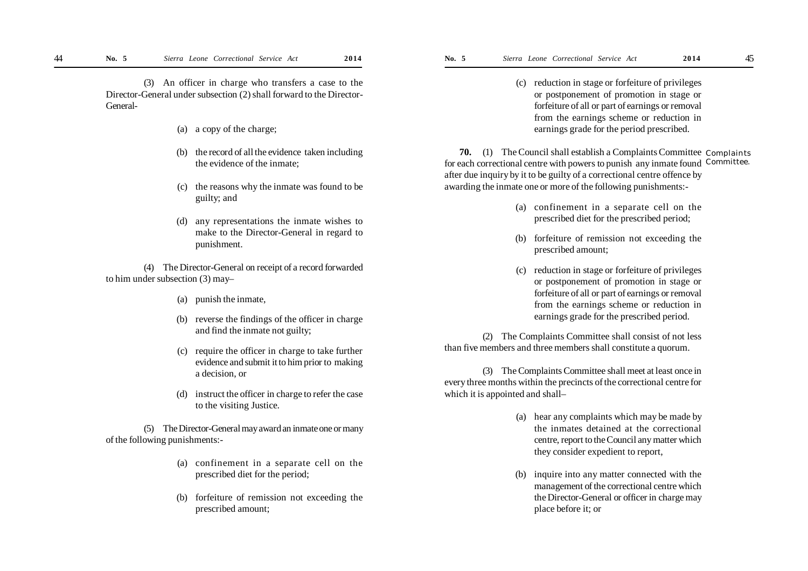(3) An officer in charge who transfers a case to the Director-General under subsection (2) shall forward to the Director-General-

- (a) a copy of the charge;
- (b) the record of all the evidence taken including the evidence of the inmate;
- (c) the reasons why the inmate was found to be guilty; and
- (d) any representations the inmate wishes to make to the Director-General in regard to punishment.

(4) The Director-General on receipt of a record forwarded to him under subsection (3) may–

- (a) punish the inmate,
- (b) reverse the findings of the officer in charge and find the inmate not guilty;
- (c) require the officer in charge to take further evidence and submit it to him prior to making a decision, or
- (d) instruct the officer in charge to refer the case to the visiting Justice.

(5) The Director-General may award an inmate one or many of the following punishments:-

- (a) confinement in a separate cell on the prescribed diet for the period;
- (b) forfeiture of remission not exceeding the prescribed amount;

(c) reduction in stage or forfeiture of privileges or postponement of promotion in stage or forfeiture of all or part of earnings or removal from the earnings scheme or reduction in earnings grade for the period prescribed.

**70.** (1) The Council shall establish a Complaints Committee Complaints for each correctional centre with powers to punish any inmate found Committee. after due inquiry by it to be guilty of a correctional centre offence by awarding the inmate one or more of the following punishments:-

- (a) confinement in a separate cell on the prescribed diet for the prescribed period;
- (b) forfeiture of remission not exceeding the prescribed amount;
- (c) reduction in stage or forfeiture of privileges or postponement of promotion in stage or forfeiture of all or part of earnings or removal from the earnings scheme or reduction in earnings grade for the prescribed period.

(2) The Complaints Committee shall consist of not less than five members and three members shall constitute a quorum.

(3) The Complaints Committee shall meet at least once in every three months within the precincts of the correctional centre for which it is appointed and shall–

- (a) hear any complaints which may be made by the inmates detained at the correctional centre, report to the Council any matter which they consider expedient to report,
- (b) inquire into any matter connected with the management of the correctional centre which the Director-General or officer in charge may place before it; or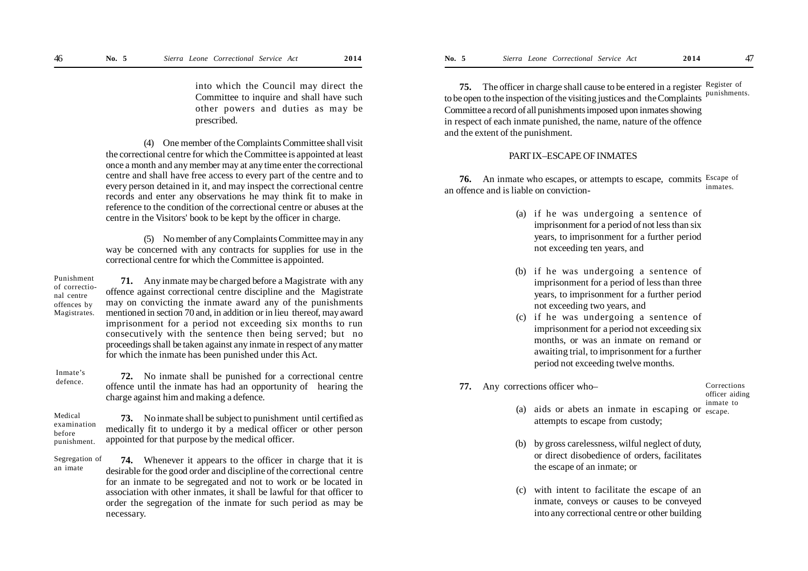into which the Council may direct the Committee to inquire and shall have such other powers and duties as may be prescribed.

(4) One member of the Complaints Committee shall visit the correctional centre for which the Committee is appointed at least once a month and any member may at any time enter the correctional centre and shall have free access to every part of the centre and to every person detained in it, and may inspect the correctional centre records and enter any observations he may think fit to make in reference to the condition of the correctional centre or abuses at the centre in the Visitors' book to be kept by the officer in charge.

(5) No member of any Complaints Committee may in any way be concerned with any contracts for supplies for use in the correctional centre for which the Committee is appointed.

Punishment of correctional centre offences by Magistrates.

**71.** Any inmate may be charged before a Magistrate with any offence against correctional centre discipline and the Magistrate may on convicting the inmate award any of the punishments mentioned in section 70 and, in addition or in lieu thereof, may award imprisonment for a period not exceeding six months to run consecutively with the sentence then being served; but no proceedings shall be taken against any inmate in respect of any matter for which the inmate has been punished under this Act.

Inmate's defence.

**72.** No inmate shall be punished for a correctional centre offence until the inmate has had an opportunity of hearing the charge against him and making a defence.

**73.** No inmate shall be subject to punishment until certified as medically fit to undergo it by a medical officer or other person appointed for that purpose by the medical officer. Medical examination before punishment.

**74.** Whenever it appears to the officer in charge that it is desirable for the good order and discipline of the correctional centre for an inmate to be segregated and not to work or be located in association with other inmates, it shall be lawful for that officer to order the segregation of the inmate for such period as may be necessary. Segregation of an imate

**75.** The officer in charge shall cause to be entered in a register Register of to be open to the inspection of the visiting justices and the Complaints punishments. Committee a record of all punishments imposed upon inmates showing in respect of each inmate punished, the name, nature of the offence and the extent of the punishment.

#### PART IX–ESCAPE OF INMATES

**76.** An inmate who escapes, or attempts to escape, commits Escape of an offence and is liable on conviction inmates.

- (a) if he was undergoing a sentence of imprisonment for a period of not less than six years, to imprisonment for a further period not exceeding ten years, and
- (b) if he was undergoing a sentence of imprisonment for a period of less than three years, to imprisonment for a further period not exceeding two years, and
- (c) if he was undergoing a sentence of imprisonment for a period not exceeding six months, or was an inmate on remand or awaiting trial, to imprisonment for a further period not exceeding twelve months.
- **77.** Any corrections officer who–

#### Corrections officer aiding inmate to

- (a) aids or abets an inmate in escaping or escape.attempts to escape from custody;
- (b) by gross carelessness, wilful neglect of duty, or direct disobedience of orders, facilitates the escape of an inmate; or
- (c) with intent to facilitate the escape of an inmate, conveys or causes to be conveyed into any correctional centre or other building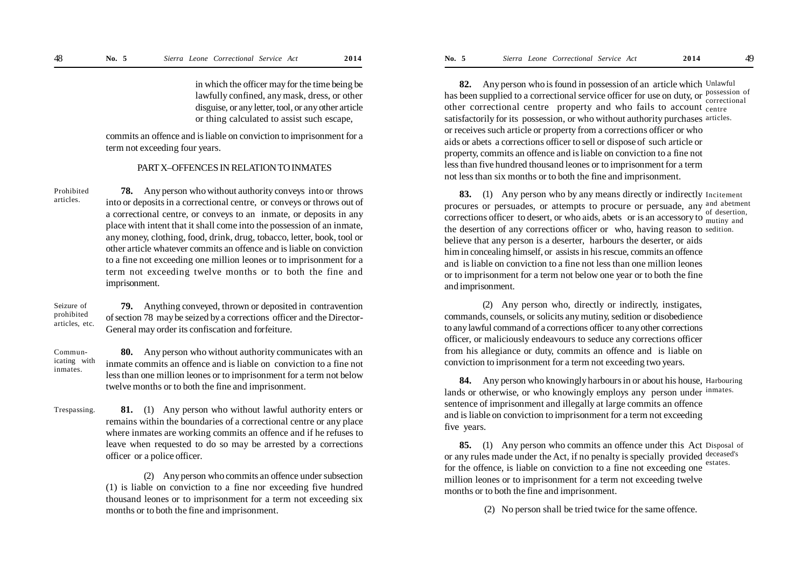in which the officer may for the time being be lawfully confined, any mask, dress, or other disguise, or any letter, tool, or any other article or thing calculated to assist such escape,

commits an offence and is liable on conviction to imprisonment for a term not exceeding four years.

#### PART X–OFFENCES IN RELATION TO INMATES

**78.** Any person who without authority conveys into or throws into or deposits in a correctional centre, or conveys or throws out of a correctional centre, or conveys to an inmate, or deposits in any place with intent that it shall come into the possession of an inmate, any money, clothing, food, drink, drug, tobacco, letter, book, tool or other article whatever commits an offence and is liable on conviction to a fine not exceeding one million leones or to imprisonment for a term not exceeding twelve months or to both the fine and imprisonment. Prohibited articles.

**79.** Anything conveyed, thrown or deposited in contravention of section 78 may be seized by a corrections officer and the Director-General may order its confiscation and forfeiture. Seizure of prohibited articles, etc.

**80.** Any person who without authority communicates with an inmate commits an offence and is liable on conviction to a fine not less than one million leones or to imprisonment for a term not below twelve months or to both the fine and imprisonment. Communicating with inmates.

**81.** (1) Any person who without lawful authority enters or remains within the boundaries of a correctional centre or any place where inmates are working commits an offence and if he refuses to leave when requested to do so may be arrested by a corrections officer or a police officer. Trespassing.

> (2) Any person who commits an offence under subsection (1) is liable on conviction to a fine nor exceeding five hundred thousand leones or to imprisonment for a term not exceeding six months or to both the fine and imprisonment.

**82.** Any person who is found in possession of an article which Unlawful has been supplied to a correctional service officer for use on duty, or possession of other correctional centre property and who fails to account centre satisfactorily for its possession, or who without authority purchases articles. or receives such article or property from a corrections officer or who aids or abets a corrections officer to sell or dispose of such article or property, commits an offence and is liable on conviction to a fine not less than five hundred thousand leones or to imprisonment for a term not less than six months or to both the fine and imprisonment. correctional

**83.** (1) Any person who by any means directly or indirectly Incitement procures or persuades, or attempts to procure or persuade, any and abetment corrections officer to desert, or who aids, abets or is an accessory to  $\frac{d}{dt}$  and the desertion of any corrections officer or who, having reason to sedition.believe that any person is a deserter, harbours the deserter, or aids him in concealing himself, or assists in his rescue, commits an offence and is liable on conviction to a fine not less than one million leones or to imprisonment for a term not below one year or to both the fine and imprisonment. of desertion,

(2) Any person who, directly or indirectly, instigates, commands, counsels, or solicits any mutiny, sedition or disobedience to any lawful command of a corrections officer to any other corrections officer, or maliciously endeavours to seduce any corrections officer from his allegiance or duty, commits an offence and is liable on conviction to imprisonment for a term not exceeding two years.

**84.** Any person who knowingly harbours in or about his house, Harbouring lands or otherwise, or who knowingly employs any person under inmates. sentence of imprisonment and illegally at large commits an offence and is liable on conviction to imprisonment for a term not exceeding five years.

**85.** (1) Any person who commits an offence under this Act Disposal of or any rules made under the Act, if no penalty is specially provided deceased's for the offence, is liable on conviction to a fine not exceeding one million leones or to imprisonment for a term not exceeding twelve months or to both the fine and imprisonment. estates.

(2) No person shall be tried twice for the same offence.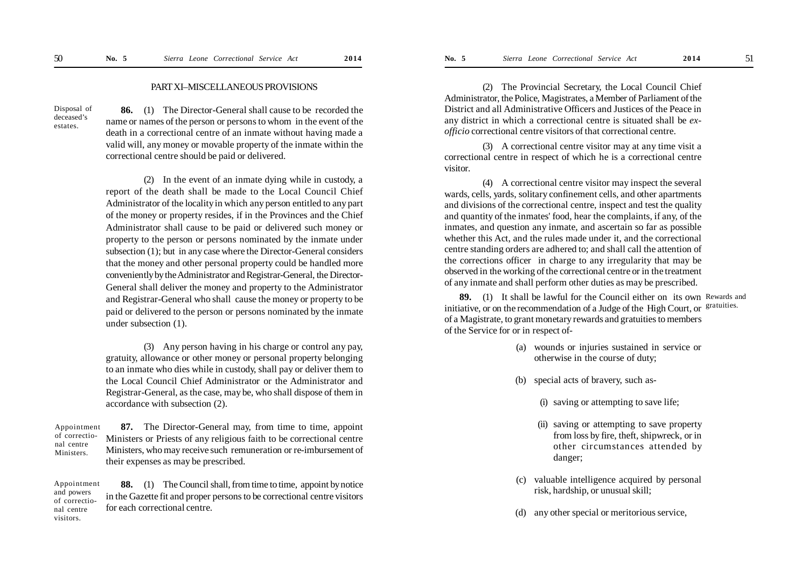#### PART XI–MISCELLANEOUS PROVISIONS

Disposal of deceased's estates.

**86.** (1) The Director-General shall cause to be recorded the name or names of the person or persons to whom in the event of the death in a correctional centre of an inmate without having made a valid will, any money or movable property of the inmate within the correctional centre should be paid or delivered.

(2) In the event of an inmate dying while in custody, a report of the death shall be made to the Local Council Chief Administrator of the locality in which any person entitled to any part of the money or property resides, if in the Provinces and the Chief Administrator shall cause to be paid or delivered such money or property to the person or persons nominated by the inmate under subsection (1); but in any case where the Director-General considers that the money and other personal property could be handled more conveniently by the Administrator and Registrar-General, the Director-General shall deliver the money and property to the Administrator and Registrar-General who shall cause the money or property to be paid or delivered to the person or persons nominated by the inmate under subsection (1).

(3) Any person having in his charge or control any pay, gratuity, allowance or other money or personal property belonging to an inmate who dies while in custody, shall pay or deliver them to the Local Council Chief Administrator or the Administrator and Registrar-General, as the case, may be, who shall dispose of them in accordance with subsection (2).

**87.** The Director-General may, from time to time, appoint Ministers or Priests of any religious faith to be correctional centre Ministers, who may receive such remuneration or re-imbursement of their expenses as may be prescribed. Appointment of correctional centre Ministers.

**88.** (1) The Council shall, from time to time, appoint by notice in the Gazette fit and proper persons to be correctional centre visitors for each correctional centre. Appointment and powers of correctional centre visitors.

(2) The Provincial Secretary, the Local Council Chief Administrator, the Police, Magistrates, a Member of Parliament of the District and all Administrative Officers and Justices of the Peace in any district in which a correctional centre is situated shall be *exofficio* correctional centre visitors of that correctional centre.

(3) A correctional centre visitor may at any time visit a correctional centre in respect of which he is a correctional centre visitor.

(4) A correctional centre visitor may inspect the several wards, cells, yards, solitary confinement cells, and other apartments and divisions of the correctional centre, inspect and test the quality and quantity of the inmates' food, hear the complaints, if any, of the inmates, and question any inmate, and ascertain so far as possible whether this Act, and the rules made under it, and the correctional centre standing orders are adhered to; and shall call the attention of the corrections officer in charge to any irregularity that may be observed in the working of the correctional centre or in the treatment of any inmate and shall perform other duties as may be prescribed.

**89.** (1) It shall be lawful for the Council either on its own Rewards and initiative, or on the recommendation of a Judge of the High Court, or <sup>gratuities.</sup> of a Magistrate, to grant monetary rewards and gratuities to members of the Service for or in respect of-

- (a) wounds or injuries sustained in service or otherwise in the course of duty;
- (b) special acts of bravery, such as-
	- (i) saving or attempting to save life;
	- (ii) saving or attempting to save property from loss by fire, theft, shipwreck, or in other circumstances attended by danger;
- (c) valuable intelligence acquired by personal risk, hardship, or unusual skill;
- (d) any other special or meritorious service,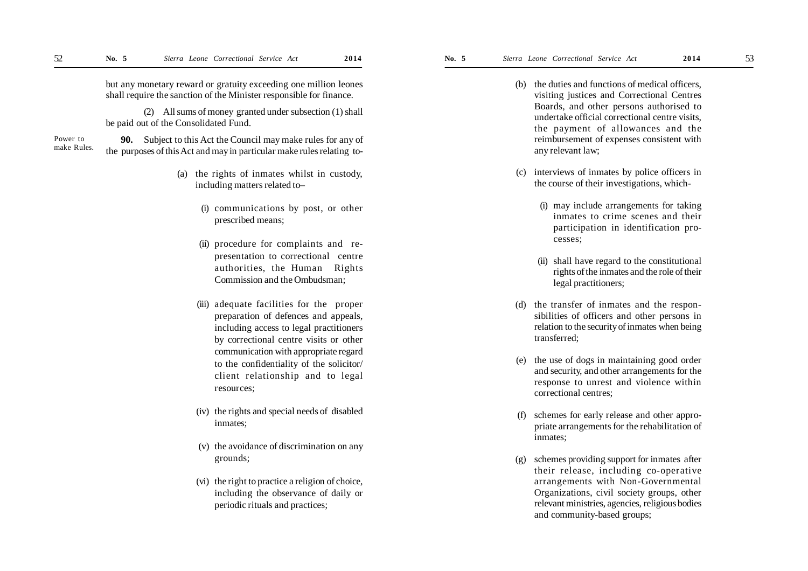but any monetary reward or gratuity exceeding one million leones shall require the sanction of the Minister responsible for finance.

(2) All sums of money granted under subsection (1) shall be paid out of the Consolidated Fund.

**90.** Subject to this Act the Council may make rules for any of the purposes of this Act and may in particular make rules relating to- Power to make Rules.

- (a) the rights of inmates whilst in custody, including matters related to–
	- (i) communications by post, or other prescribed means;
	- (ii) procedure for complaints and representation to correctional centre authorities, the Human Rights Commission and the Ombudsman;
	- (iii) adequate facilities for the proper preparation of defences and appeals, including access to legal practitioners by correctional centre visits or other communication with appropriate regard to the confidentiality of the solicitor/ client relationship and to legal resources;
	- (iv) the rights and special needs of disabled inmates;
	- (v) the avoidance of discrimination on any grounds;
	- (vi) the right to practice a religion of choice, including the observance of daily or periodic rituals and practices;
- (b) the duties and functions of medical officers, visiting justices and Correctional Centres Boards, and other persons authorised to undertake official correctional centre visits, the payment of allowances and the reimbursement of expenses consistent with any relevant law;
- (c) interviews of inmates by police officers in the course of their investigations, which-
	- (i) may include arrangements for taking inmates to crime scenes and their participation in identification processes;
	- (ii) shall have regard to the constitutional rights of the inmates and the role of their legal practitioners;
- (d) the transfer of inmates and the responsibilities of officers and other persons in relation to the security of inmates when being transferred;
- (e) the use of dogs in maintaining good order and security, and other arrangements for the response to unrest and violence within correctional centres;
- (f) schemes for early release and other appropriate arrangements for the rehabilitation of inmates;
- (g) schemes providing support for inmates after their release, including co-operative arrangements with Non-Governmental Organizations, civil society groups, other relevant ministries, agencies, religious bodies and community-based groups;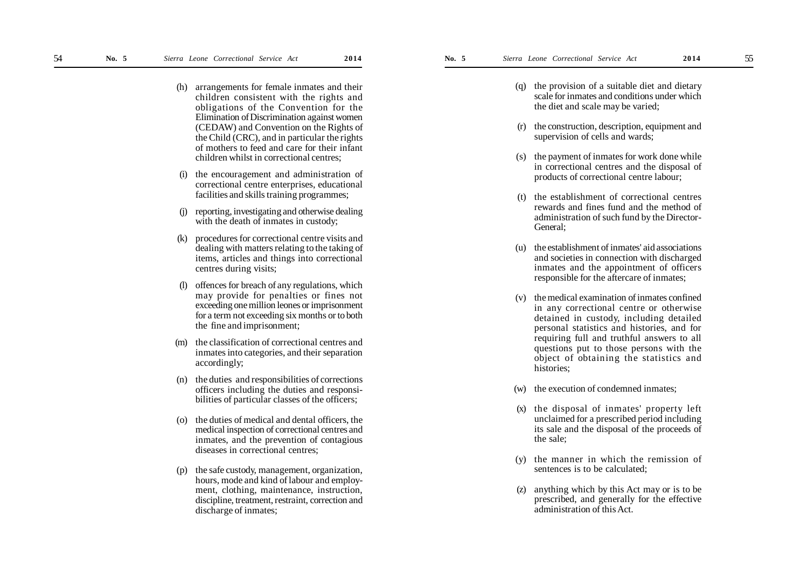- (h) arrangements for female inmates and their children consistent with the rights and obligations of the Convention for the Elimination of Discrimination against women (CEDAW) and Convention on the Rights of the Child (CRC), and in particular the rights of mothers to feed and care for their infant children whilst in correctional centres;
- (i) the encouragement and administration of correctional centre enterprises, educational facilities and skills training programmes;
- (j) reporting, investigating and otherwise dealing with the death of inmates in custody;
- (k) procedures for correctional centre visits and dealing with matters relating to the taking of items, articles and things into correctional centres during visits;
- offences for breach of any regulations, which may provide for penalties or fines not exceeding one million leones or imprisonment for a term not exceeding six months or to both the fine and imprisonment;
- (m) the classification of correctional centres and inmates into categories, and their separation accordingly;
- (n) the duties and responsibilities of corrections officers including the duties and responsibilities of particular classes of the officers;
- (o) the duties of medical and dental officers, the medical inspection of correctional centres and inmates, and the prevention of contagious diseases in correctional centres;
- (p) the safe custody, management, organization, hours, mode and kind of labour and employment, clothing, maintenance, instruction, discipline, treatment, restraint, correction and discharge of inmates;
- (q) the provision of a suitable diet and dietary scale for inmates and conditions under which the diet and scale may be varied;
- (r) the construction, description, equipment and supervision of cells and wards;
- (s) the payment of inmates for work done while in correctional centres and the disposal of products of correctional centre labour;
- (t) the establishment of correctional centres rewards and fines fund and the method of administration of such fund by the Director-General;
- (u) the establishment of inmates' aid associations and societies in connection with discharged inmates and the appointment of officers responsible for the aftercare of inmates;
- (v) the medical examination of inmates confined in any correctional centre or otherwise detained in custody, including detailed personal statistics and histories, and for requiring full and truthful answers to all questions put to those persons with the object of obtaining the statistics and histories;
- (w) the execution of condemned inmates;
- (x) the disposal of inmates' property left unclaimed for a prescribed period including its sale and the disposal of the proceeds of the sale;
- (y) the manner in which the remission of sentences is to be calculated;
- (z) anything which by this Act may or is to be prescribed, and generally for the effective administration of this Act.